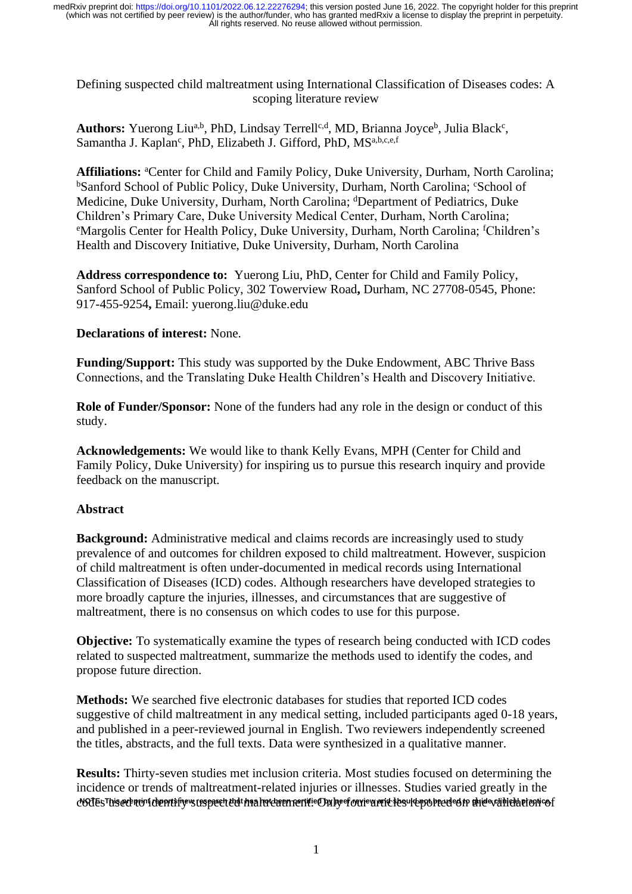Defining suspected child maltreatment using International Classification of Diseases codes: A scoping literature review

Authors: Yuerong Liu<sup>a,b</sup>, PhD, Lindsay Terrell<sup>c,d</sup>, MD, Brianna Joyce<sup>b</sup>, Julia Black<sup>c</sup>, Samantha J. Kaplan<sup>c</sup>, PhD, Elizabeth J. Gifford, PhD, MS<sup>a,b,c,e,f</sup>

**Affiliations:** <sup>a</sup>Center for Child and Family Policy, Duke University, Durham, North Carolina; <sup>b</sup>Sanford School of Public Policy, Duke University, Durham, North Carolina; <sup>c</sup>School of Medicine, Duke University, Durham, North Carolina; <sup>d</sup>Department of Pediatrics, Duke Children's Primary Care, Duke University Medical Center, Durham, North Carolina; <sup>e</sup>Margolis Center for Health Policy, Duke University, Durham, North Carolina; <sup>f</sup>Children's Health and Discovery Initiative, Duke University, Durham, North Carolina

**Address correspondence to:** Yuerong Liu, PhD, Center for Child and Family Policy, Sanford School of Public Policy, 302 Towerview Road**,** Durham, NC 27708-0545, Phone: 917-455-9254**,** Email: yuerong.liu@duke.edu

## **Declarations of interest:** None.

**Funding/Support:** This study was supported by the Duke Endowment, ABC Thrive Bass Connections, and the Translating Duke Health Children's Health and Discovery Initiative.

**Role of Funder/Sponsor:** None of the funders had any role in the design or conduct of this study.

**Acknowledgements:** We would like to thank Kelly Evans, MPH (Center for Child and Family Policy, Duke University) for inspiring us to pursue this research inquiry and provide feedback on the manuscript.

## **Abstract**

**Background:** Administrative medical and claims records are increasingly used to study prevalence of and outcomes for children exposed to child maltreatment. However, suspicion of child maltreatment is often under-documented in medical records using International Classification of Diseases (ICD) codes. Although researchers have developed strategies to more broadly capture the injuries, illnesses, and circumstances that are suggestive of maltreatment, there is no consensus on which codes to use for this purpose.

**Objective:** To systematically examine the types of research being conducted with ICD codes related to suspected maltreatment, summarize the methods used to identify the codes, and propose future direction.

**Methods:** We searched five electronic databases for studies that reported ICD codes suggestive of child maltreatment in any medical setting, included participants aged 0-18 years, and published in a peer-reviewed journal in English. Two reviewers independently screened the titles, abstracts, and the full texts. Data were synthesized in a qualitative manner.

**Results:** Thirty-seven studies met inclusion criteria. Most studies focused on determining the incidence or trends of maltreatment-related injuries or illnesses. Studies varied greatly in the cVOJEsThisecÞnúrí cheprtifiyevs usspæch chdt han hotchem rentii: Ond hy ef carievs ruid tesuld poblecuded to ahled veinich hienticof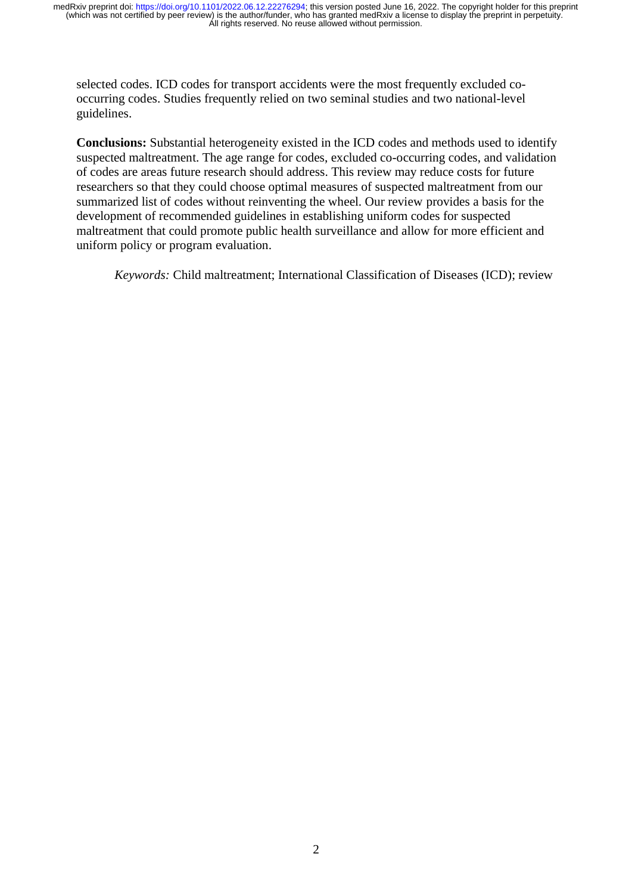selected codes. ICD codes for transport accidents were the most frequently excluded cooccurring codes. Studies frequently relied on two seminal studies and two national-level guidelines.

**Conclusions:** Substantial heterogeneity existed in the ICD codes and methods used to identify suspected maltreatment. The age range for codes, excluded co-occurring codes, and validation of codes are areas future research should address. This review may reduce costs for future researchers so that they could choose optimal measures of suspected maltreatment from our summarized list of codes without reinventing the wheel. Our review provides a basis for the development of recommended guidelines in establishing uniform codes for suspected maltreatment that could promote public health surveillance and allow for more efficient and uniform policy or program evaluation.

*Keywords:* Child maltreatment; International Classification of Diseases (ICD); review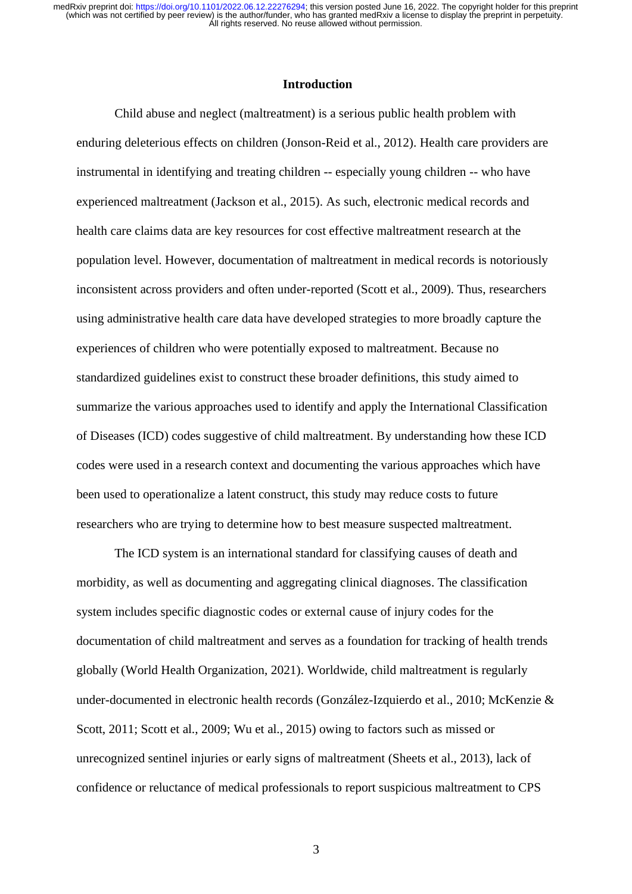#### **Introduction**

Child abuse and neglect (maltreatment) is a serious public health problem with enduring deleterious effects on children (Jonson-Reid et al., 2012). Health care providers are instrumental in identifying and treating children -- especially young children -- who have experienced maltreatment (Jackson et al., 2015). As such, electronic medical records and health care claims data are key resources for cost effective maltreatment research at the population level. However, documentation of maltreatment in medical records is notoriously inconsistent across providers and often under-reported (Scott et al., 2009). Thus, researchers using administrative health care data have developed strategies to more broadly capture the experiences of children who were potentially exposed to maltreatment. Because no standardized guidelines exist to construct these broader definitions, this study aimed to summarize the various approaches used to identify and apply the International Classification of Diseases (ICD) codes suggestive of child maltreatment. By understanding how these ICD codes were used in a research context and documenting the various approaches which have been used to operationalize a latent construct, this study may reduce costs to future researchers who are trying to determine how to best measure suspected maltreatment.

The ICD system is an international standard for classifying causes of death and morbidity, as well as documenting and aggregating clinical diagnoses. The classification system includes specific diagnostic codes or external cause of injury codes for the documentation of child maltreatment and serves as a foundation for tracking of health trends globally (World Health Organization, 2021). Worldwide, child maltreatment is regularly under-documented in electronic health records (González-Izquierdo et al., 2010; McKenzie & Scott, 2011; Scott et al., 2009; Wu et al., 2015) owing to factors such as missed or unrecognized sentinel injuries or early signs of maltreatment (Sheets et al., 2013), lack of confidence or reluctance of medical professionals to report suspicious maltreatment to CPS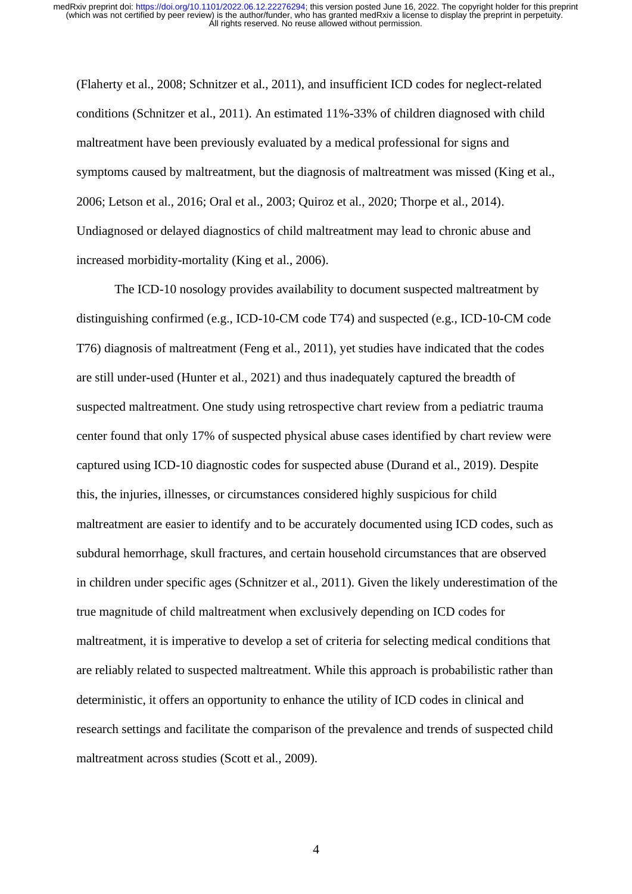(Flaherty et al., 2008; Schnitzer et al., 2011), and insufficient ICD codes for neglect-related conditions (Schnitzer et al., 2011). An estimated 11%-33% of children diagnosed with child maltreatment have been previously evaluated by a medical professional for signs and symptoms caused by maltreatment, but the diagnosis of maltreatment was missed (King et al., 2006; Letson et al., 2016; Oral et al., 2003; Quiroz et al., 2020; Thorpe et al., 2014). Undiagnosed or delayed diagnostics of child maltreatment may lead to chronic abuse and increased morbidity-mortality (King et al., 2006).

The ICD-10 nosology provides availability to document suspected maltreatment by distinguishing confirmed (e.g., ICD-10-CM code T74) and suspected (e.g., ICD-10-CM code T76) diagnosis of maltreatment (Feng et al., 2011), yet studies have indicated that the codes are still under-used (Hunter et al., 2021) and thus inadequately captured the breadth of suspected maltreatment. One study using retrospective chart review from a pediatric trauma center found that only 17% of suspected physical abuse cases identified by chart review were captured using ICD-10 diagnostic codes for suspected abuse (Durand et al., 2019). Despite this, the injuries, illnesses, or circumstances considered highly suspicious for child maltreatment are easier to identify and to be accurately documented using ICD codes, such as subdural hemorrhage, skull fractures, and certain household circumstances that are observed in children under specific ages (Schnitzer et al., 2011). Given the likely underestimation of the true magnitude of child maltreatment when exclusively depending on ICD codes for maltreatment, it is imperative to develop a set of criteria for selecting medical conditions that are reliably related to suspected maltreatment. While this approach is probabilistic rather than deterministic, it offers an opportunity to enhance the utility of ICD codes in clinical and research settings and facilitate the comparison of the prevalence and trends of suspected child maltreatment across studies (Scott et al., 2009).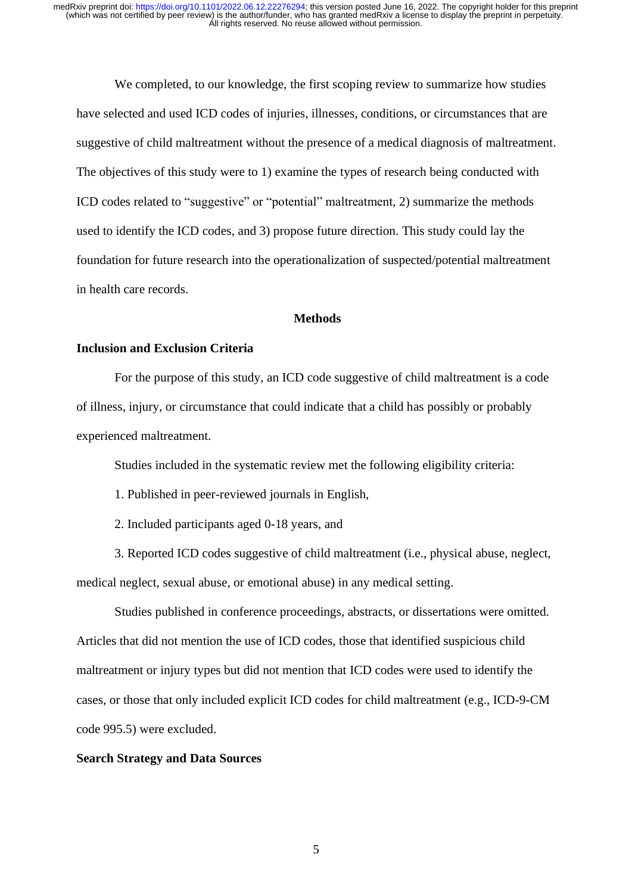We completed, to our knowledge, the first scoping review to summarize how studies have selected and used ICD codes of injuries, illnesses, conditions, or circumstances that are suggestive of child maltreatment without the presence of a medical diagnosis of maltreatment. The objectives of this study were to 1) examine the types of research being conducted with ICD codes related to "suggestive" or "potential" maltreatment, 2) summarize the methods used to identify the ICD codes, and 3) propose future direction. This study could lay the foundation for future research into the operationalization of suspected/potential maltreatment in health care records.

#### **Methods**

## **Inclusion and Exclusion Criteria**

For the purpose of this study, an ICD code suggestive of child maltreatment is a code of illness, injury, or circumstance that could indicate that a child has possibly or probably experienced maltreatment.

Studies included in the systematic review met the following eligibility criteria:

1. Published in peer-reviewed journals in English,

2. Included participants aged 0-18 years, and

3. Reported ICD codes suggestive of child maltreatment (i.e., physical abuse, neglect, medical neglect, sexual abuse, or emotional abuse) in any medical setting.

Studies published in conference proceedings, abstracts, or dissertations were omitted. Articles that did not mention the use of ICD codes, those that identified suspicious child maltreatment or injury types but did not mention that ICD codes were used to identify the cases, or those that only included explicit ICD codes for child maltreatment (e.g., ICD-9-CM code 995.5) were excluded.

#### **Search Strategy and Data Sources**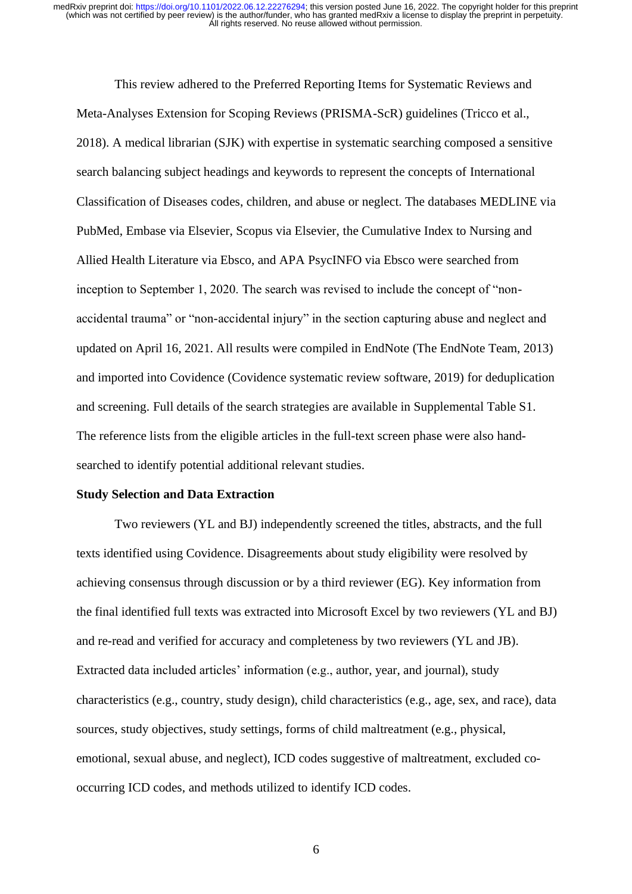This review adhered to the Preferred Reporting Items for Systematic Reviews and Meta-Analyses Extension for Scoping Reviews (PRISMA-ScR) guidelines (Tricco et al., 2018). A medical librarian (SJK) with expertise in systematic searching composed a sensitive search balancing subject headings and keywords to represent the concepts of International Classification of Diseases codes, children, and abuse or neglect. The databases MEDLINE via PubMed, Embase via Elsevier, Scopus via Elsevier, the Cumulative Index to Nursing and Allied Health Literature via Ebsco, and APA PsycINFO via Ebsco were searched from inception to September 1, 2020. The search was revised to include the concept of "nonaccidental trauma" or "non-accidental injury" in the section capturing abuse and neglect and updated on April 16, 2021. All results were compiled in EndNote (The EndNote Team, 2013) and imported into Covidence (Covidence systematic review software, 2019) for deduplication and screening. Full details of the search strategies are available in Supplemental Table S1. The reference lists from the eligible articles in the full-text screen phase were also handsearched to identify potential additional relevant studies.

#### **Study Selection and Data Extraction**

Two reviewers (YL and BJ) independently screened the titles, abstracts, and the full texts identified using Covidence. Disagreements about study eligibility were resolved by achieving consensus through discussion or by a third reviewer (EG). Key information from the final identified full texts was extracted into Microsoft Excel by two reviewers (YL and BJ) and re-read and verified for accuracy and completeness by two reviewers (YL and JB). Extracted data included articles' information (e.g., author, year, and journal), study characteristics (e.g., country, study design), child characteristics (e.g., age, sex, and race), data sources, study objectives, study settings, forms of child maltreatment (e.g., physical, emotional, sexual abuse, and neglect), ICD codes suggestive of maltreatment, excluded cooccurring ICD codes, and methods utilized to identify ICD codes.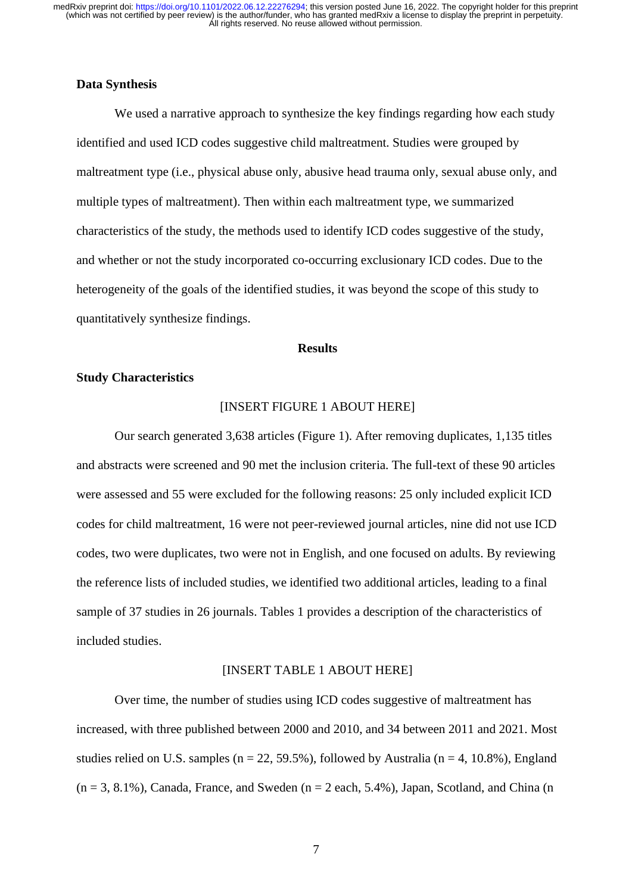## **Data Synthesis**

We used a narrative approach to synthesize the key findings regarding how each study identified and used ICD codes suggestive child maltreatment. Studies were grouped by maltreatment type (i.e., physical abuse only, abusive head trauma only, sexual abuse only, and multiple types of maltreatment). Then within each maltreatment type, we summarized characteristics of the study, the methods used to identify ICD codes suggestive of the study, and whether or not the study incorporated co-occurring exclusionary ICD codes. Due to the heterogeneity of the goals of the identified studies, it was beyond the scope of this study to quantitatively synthesize findings.

#### **Results**

## **Study Characteristics**

#### [INSERT FIGURE 1 ABOUT HERE]

Our search generated 3,638 articles (Figure 1). After removing duplicates, 1,135 titles and abstracts were screened and 90 met the inclusion criteria. The full-text of these 90 articles were assessed and 55 were excluded for the following reasons: 25 only included explicit ICD codes for child maltreatment, 16 were not peer-reviewed journal articles, nine did not use ICD codes, two were duplicates, two were not in English, and one focused on adults. By reviewing the reference lists of included studies, we identified two additional articles, leading to a final sample of 37 studies in 26 journals. Tables 1 provides a description of the characteristics of included studies.

#### [INSERT TABLE 1 ABOUT HERE]

Over time, the number of studies using ICD codes suggestive of maltreatment has increased, with three published between 2000 and 2010, and 34 between 2011 and 2021. Most studies relied on U.S. samples ( $n = 22, 59.5\%$ ), followed by Australia ( $n = 4, 10.8\%$ ), England  $(n = 3, 8.1\%)$ , Canada, France, and Sweden  $(n = 2 \text{ each}, 5.4\%)$ , Japan, Scotland, and China  $(n = 3, 8.1\%)$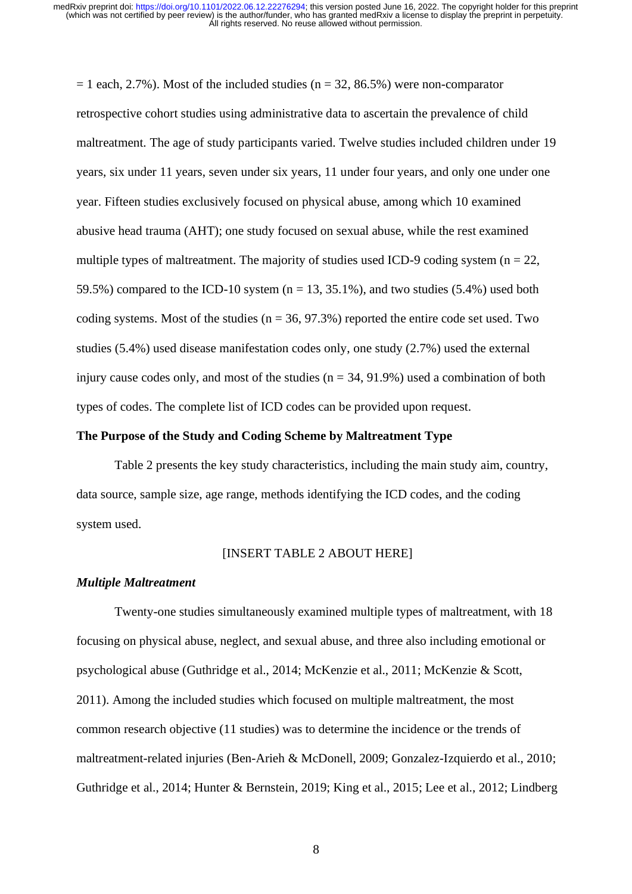$= 1$  each, 2.7%). Most of the included studies (n = 32, 86.5%) were non-comparator retrospective cohort studies using administrative data to ascertain the prevalence of child maltreatment. The age of study participants varied. Twelve studies included children under 19 years, six under 11 years, seven under six years, 11 under four years, and only one under one year. Fifteen studies exclusively focused on physical abuse, among which 10 examined abusive head trauma (AHT); one study focused on sexual abuse, while the rest examined multiple types of maltreatment. The majority of studies used ICD-9 coding system ( $n = 22$ , 59.5%) compared to the ICD-10 system ( $n = 13, 35.1\%$ ), and two studies (5.4%) used both coding systems. Most of the studies  $(n = 36, 97.3\%)$  reported the entire code set used. Two studies (5.4%) used disease manifestation codes only, one study (2.7%) used the external injury cause codes only, and most of the studies  $(n = 34, 91.9\%)$  used a combination of both types of codes. The complete list of ICD codes can be provided upon request.

## **The Purpose of the Study and Coding Scheme by Maltreatment Type**

Table 2 presents the key study characteristics, including the main study aim, country, data source, sample size, age range, methods identifying the ICD codes, and the coding system used.

#### [INSERT TABLE 2 ABOUT HERE]

#### *Multiple Maltreatment*

Twenty-one studies simultaneously examined multiple types of maltreatment, with 18 focusing on physical abuse, neglect, and sexual abuse, and three also including emotional or psychological abuse (Guthridge et al., 2014; McKenzie et al., 2011; McKenzie & Scott, 2011). Among the included studies which focused on multiple maltreatment, the most common research objective (11 studies) was to determine the incidence or the trends of maltreatment-related injuries (Ben-Arieh & McDonell, 2009; Gonzalez-Izquierdo et al., 2010; Guthridge et al., 2014; Hunter & Bernstein, 2019; King et al., 2015; Lee et al., 2012; Lindberg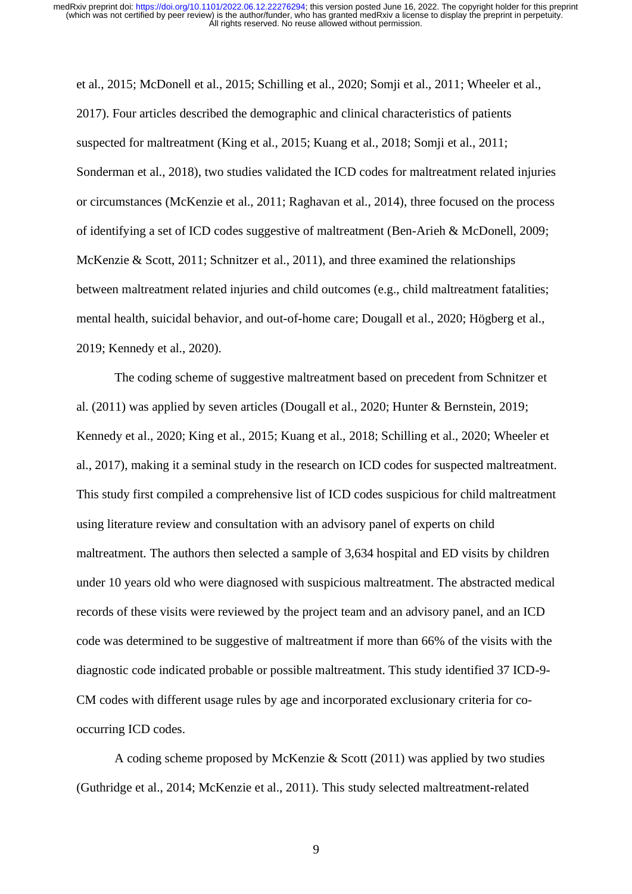et al., 2015; McDonell et al., 2015; Schilling et al., 2020; Somji et al., 2011; Wheeler et al., 2017). Four articles described the demographic and clinical characteristics of patients suspected for maltreatment (King et al., 2015; Kuang et al., 2018; Somji et al., 2011; Sonderman et al., 2018), two studies validated the ICD codes for maltreatment related injuries or circumstances (McKenzie et al., 2011; Raghavan et al., 2014), three focused on the process of identifying a set of ICD codes suggestive of maltreatment (Ben-Arieh & McDonell, 2009; McKenzie & Scott, 2011; Schnitzer et al., 2011), and three examined the relationships between maltreatment related injuries and child outcomes (e.g., child maltreatment fatalities; mental health, suicidal behavior, and out-of-home care; Dougall et al., 2020; Högberg et al., 2019; Kennedy et al., 2020).

The coding scheme of suggestive maltreatment based on precedent from Schnitzer et al. (2011) was applied by seven articles (Dougall et al., 2020; Hunter & Bernstein, 2019; Kennedy et al., 2020; King et al., 2015; Kuang et al., 2018; Schilling et al., 2020; Wheeler et al., 2017), making it a seminal study in the research on ICD codes for suspected maltreatment. This study first compiled a comprehensive list of ICD codes suspicious for child maltreatment using literature review and consultation with an advisory panel of experts on child maltreatment. The authors then selected a sample of 3,634 hospital and ED visits by children under 10 years old who were diagnosed with suspicious maltreatment. The abstracted medical records of these visits were reviewed by the project team and an advisory panel, and an ICD code was determined to be suggestive of maltreatment if more than 66% of the visits with the diagnostic code indicated probable or possible maltreatment. This study identified 37 ICD-9- CM codes with different usage rules by age and incorporated exclusionary criteria for cooccurring ICD codes.

A coding scheme proposed by McKenzie & Scott (2011) was applied by two studies (Guthridge et al., 2014; McKenzie et al., 2011). This study selected maltreatment-related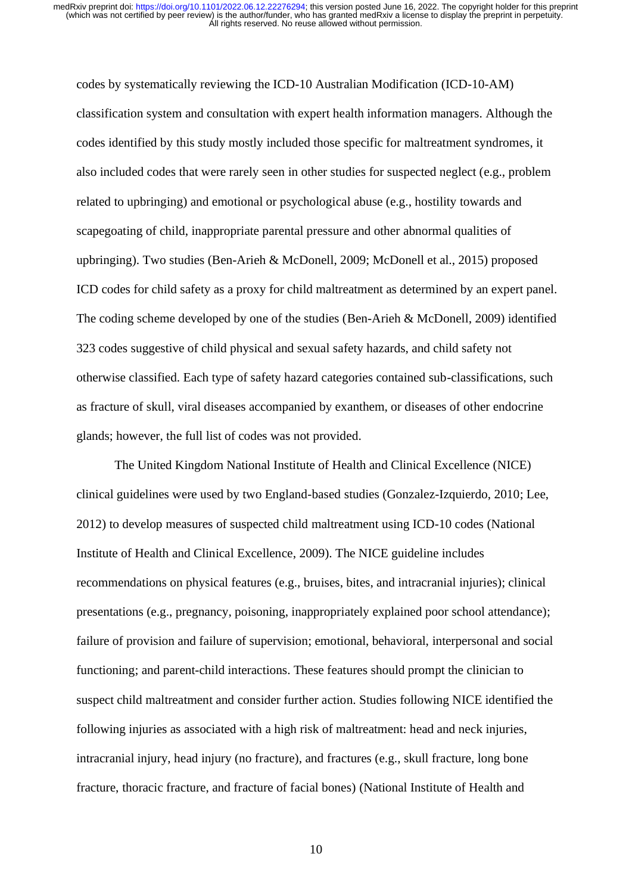codes by systematically reviewing the ICD-10 Australian Modification (ICD-10-AM) classification system and consultation with expert health information managers. Although the codes identified by this study mostly included those specific for maltreatment syndromes, it also included codes that were rarely seen in other studies for suspected neglect (e.g., problem related to upbringing) and emotional or psychological abuse (e.g., hostility towards and scapegoating of child, inappropriate parental pressure and other abnormal qualities of upbringing). Two studies (Ben-Arieh & McDonell, 2009; McDonell et al., 2015) proposed ICD codes for child safety as a proxy for child maltreatment as determined by an expert panel. The coding scheme developed by one of the studies (Ben-Arieh & McDonell, 2009) identified 323 codes suggestive of child physical and sexual safety hazards, and child safety not otherwise classified. Each type of safety hazard categories contained sub-classifications, such as fracture of skull, viral diseases accompanied by exanthem, or diseases of other endocrine glands; however, the full list of codes was not provided.

The United Kingdom National Institute of Health and Clinical Excellence (NICE) clinical guidelines were used by two England-based studies (Gonzalez-Izquierdo, 2010; Lee, 2012) to develop measures of suspected child maltreatment using ICD-10 codes (National Institute of Health and Clinical Excellence, 2009). The NICE guideline includes recommendations on physical features (e.g., bruises, bites, and intracranial injuries); clinical presentations (e.g., pregnancy, poisoning, inappropriately explained poor school attendance); failure of provision and failure of supervision; emotional, behavioral, interpersonal and social functioning; and parent-child interactions. These features should prompt the clinician to suspect child maltreatment and consider further action. Studies following NICE identified the following injuries as associated with a high risk of maltreatment: head and neck injuries, intracranial injury, head injury (no fracture), and fractures (e.g., skull fracture, long bone fracture, thoracic fracture, and fracture of facial bones) (National Institute of Health and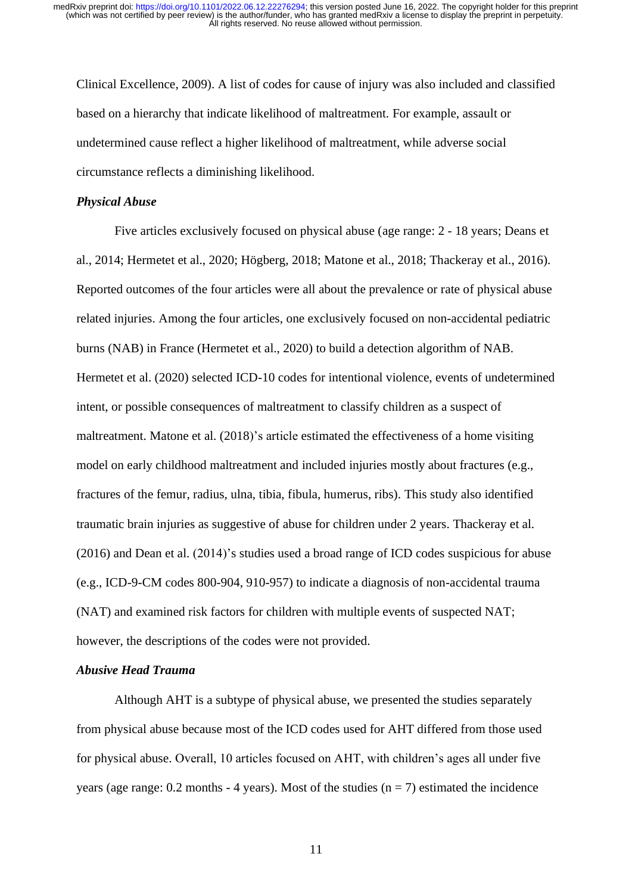Clinical Excellence, 2009). A list of codes for cause of injury was also included and classified based on a hierarchy that indicate likelihood of maltreatment. For example, assault or undetermined cause reflect a higher likelihood of maltreatment, while adverse social circumstance reflects a diminishing likelihood.

#### *Physical Abuse*

Five articles exclusively focused on physical abuse (age range: 2 - 18 years; Deans et al., 2014; Hermetet et al., 2020; Högberg, 2018; Matone et al., 2018; Thackeray et al., 2016). Reported outcomes of the four articles were all about the prevalence or rate of physical abuse related injuries. Among the four articles, one exclusively focused on non-accidental pediatric burns (NAB) in France (Hermetet et al., 2020) to build a detection algorithm of NAB. Hermetet et al. (2020) selected ICD-10 codes for intentional violence, events of undetermined intent, or possible consequences of maltreatment to classify children as a suspect of maltreatment. Matone et al. (2018)'s article estimated the effectiveness of a home visiting model on early childhood maltreatment and included injuries mostly about fractures (e.g., fractures of the femur, radius, ulna, tibia, fibula, humerus, ribs). This study also identified traumatic brain injuries as suggestive of abuse for children under 2 years. Thackeray et al. (2016) and Dean et al. (2014)'s studies used a broad range of ICD codes suspicious for abuse (e.g., ICD-9-CM codes 800-904, 910-957) to indicate a diagnosis of non-accidental trauma (NAT) and examined risk factors for children with multiple events of suspected NAT; however, the descriptions of the codes were not provided.

### *Abusive Head Trauma*

Although AHT is a subtype of physical abuse, we presented the studies separately from physical abuse because most of the ICD codes used for AHT differed from those used for physical abuse. Overall, 10 articles focused on AHT, with children's ages all under five years (age range:  $0.2$  months - 4 years). Most of the studies ( $n = 7$ ) estimated the incidence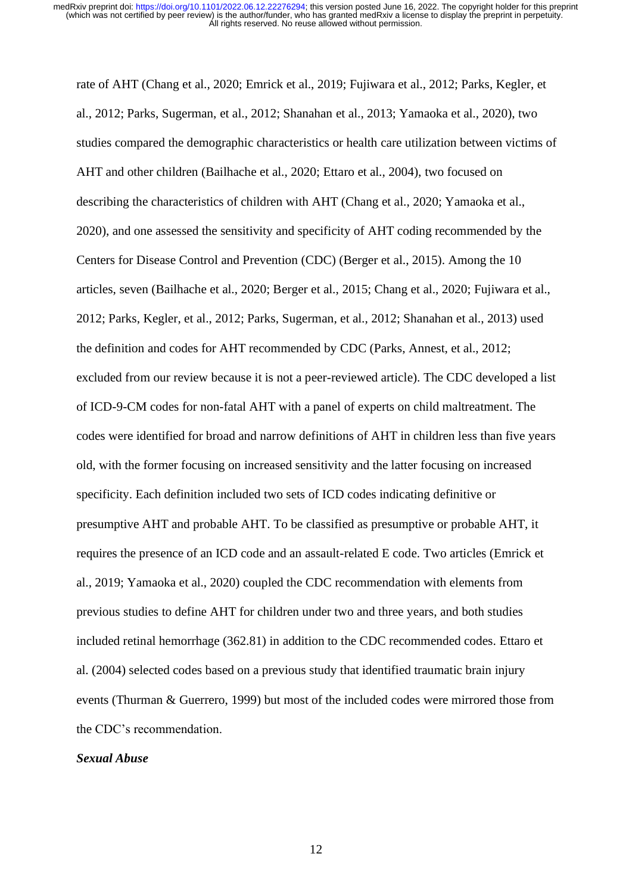rate of AHT (Chang et al., 2020; Emrick et al., 2019; Fujiwara et al., 2012; Parks, Kegler, et al., 2012; Parks, Sugerman, et al., 2012; Shanahan et al., 2013; Yamaoka et al., 2020), two studies compared the demographic characteristics or health care utilization between victims of AHT and other children (Bailhache et al., 2020; Ettaro et al., 2004), two focused on describing the characteristics of children with AHT (Chang et al., 2020; Yamaoka et al., 2020), and one assessed the sensitivity and specificity of AHT coding recommended by the Centers for Disease Control and Prevention (CDC) (Berger et al., 2015). Among the 10 articles, seven (Bailhache et al., 2020; Berger et al., 2015; Chang et al., 2020; Fujiwara et al., 2012; Parks, Kegler, et al., 2012; Parks, Sugerman, et al., 2012; Shanahan et al., 2013) used the definition and codes for AHT recommended by CDC (Parks, Annest, et al., 2012; excluded from our review because it is not a peer-reviewed article). The CDC developed a list of ICD-9-CM codes for non-fatal AHT with a panel of experts on child maltreatment. The codes were identified for broad and narrow definitions of AHT in children less than five years old, with the former focusing on increased sensitivity and the latter focusing on increased specificity. Each definition included two sets of ICD codes indicating definitive or presumptive AHT and probable AHT. To be classified as presumptive or probable AHT, it requires the presence of an ICD code and an assault-related E code. Two articles (Emrick et al., 2019; Yamaoka et al., 2020) coupled the CDC recommendation with elements from previous studies to define AHT for children under two and three years, and both studies included retinal hemorrhage (362.81) in addition to the CDC recommended codes. Ettaro et al. (2004) selected codes based on a previous study that identified traumatic brain injury events (Thurman & Guerrero, 1999) but most of the included codes were mirrored those from the CDC's recommendation.

#### *Sexual Abuse*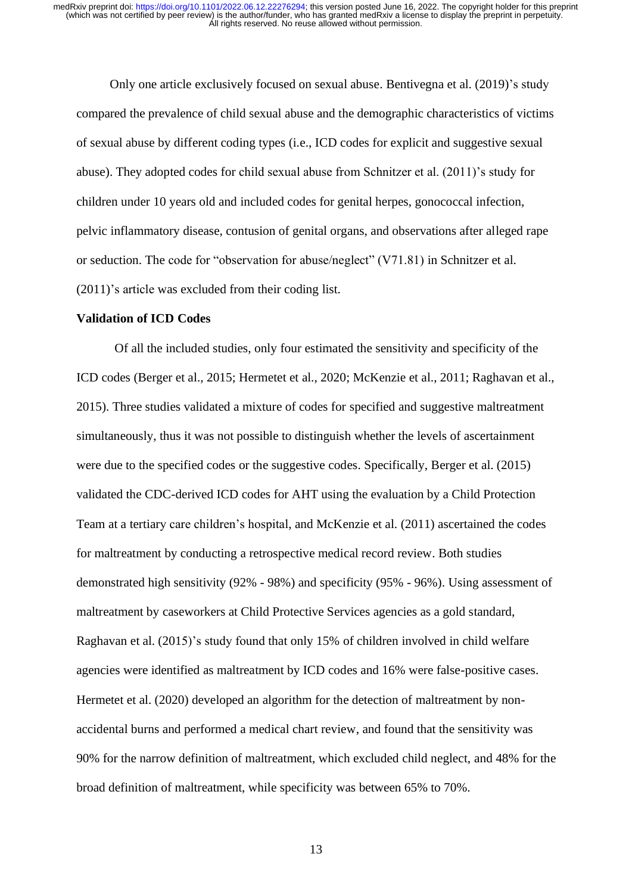Only one article exclusively focused on sexual abuse. Bentivegna et al. (2019)'s study compared the prevalence of child sexual abuse and the demographic characteristics of victims of sexual abuse by different coding types (i.e., ICD codes for explicit and suggestive sexual abuse). They adopted codes for child sexual abuse from Schnitzer et al. (2011)'s study for children under 10 years old and included codes for genital herpes, gonococcal infection, pelvic inflammatory disease, contusion of genital organs, and observations after alleged rape or seduction. The code for "observation for abuse/neglect" (V71.81) in Schnitzer et al. (2011)'s article was excluded from their coding list.

### **Validation of ICD Codes**

Of all the included studies, only four estimated the sensitivity and specificity of the ICD codes (Berger et al., 2015; Hermetet et al., 2020; McKenzie et al., 2011; Raghavan et al., 2015). Three studies validated a mixture of codes for specified and suggestive maltreatment simultaneously, thus it was not possible to distinguish whether the levels of ascertainment were due to the specified codes or the suggestive codes. Specifically, Berger et al. (2015) validated the CDC-derived ICD codes for AHT using the evaluation by a Child Protection Team at a tertiary care children's hospital, and McKenzie et al. (2011) ascertained the codes for maltreatment by conducting a retrospective medical record review. Both studies demonstrated high sensitivity (92% - 98%) and specificity (95% - 96%). Using assessment of maltreatment by caseworkers at Child Protective Services agencies as a gold standard, Raghavan et al. (2015)'s study found that only 15% of children involved in child welfare agencies were identified as maltreatment by ICD codes and 16% were false-positive cases. Hermetet et al. (2020) developed an algorithm for the detection of maltreatment by nonaccidental burns and performed a medical chart review, and found that the sensitivity was 90% for the narrow definition of maltreatment, which excluded child neglect, and 48% for the broad definition of maltreatment, while specificity was between 65% to 70%.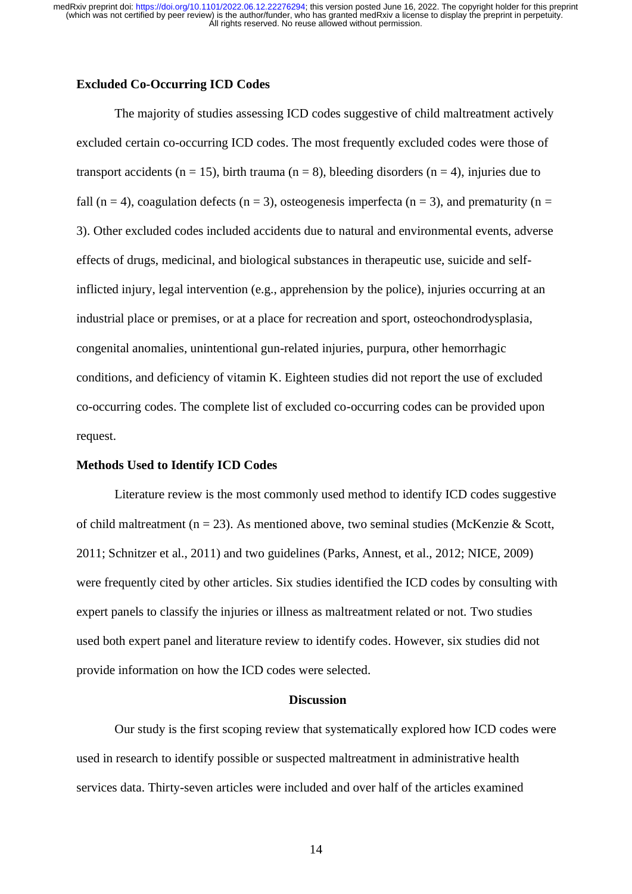#### **Excluded Co-Occurring ICD Codes**

The majority of studies assessing ICD codes suggestive of child maltreatment actively excluded certain co-occurring ICD codes. The most frequently excluded codes were those of transport accidents ( $n = 15$ ), birth trauma ( $n = 8$ ), bleeding disorders ( $n = 4$ ), injuries due to fall (n = 4), coagulation defects (n = 3), osteogenesis imperfecta (n = 3), and prematurity (n = 3). Other excluded codes included accidents due to natural and environmental events, adverse effects of drugs, medicinal, and biological substances in therapeutic use, suicide and selfinflicted injury, legal intervention (e.g., apprehension by the police), injuries occurring at an industrial place or premises, or at a place for recreation and sport, osteochondrodysplasia, congenital anomalies, unintentional gun-related injuries, purpura, other hemorrhagic conditions, and deficiency of vitamin K. Eighteen studies did not report the use of excluded co-occurring codes. The complete list of excluded co-occurring codes can be provided upon request.

#### **Methods Used to Identify ICD Codes**

Literature review is the most commonly used method to identify ICD codes suggestive of child maltreatment ( $n = 23$ ). As mentioned above, two seminal studies (McKenzie & Scott, 2011; Schnitzer et al., 2011) and two guidelines (Parks, Annest, et al., 2012; NICE, 2009) were frequently cited by other articles. Six studies identified the ICD codes by consulting with expert panels to classify the injuries or illness as maltreatment related or not. Two studies used both expert panel and literature review to identify codes. However, six studies did not provide information on how the ICD codes were selected.

#### **Discussion**

Our study is the first scoping review that systematically explored how ICD codes were used in research to identify possible or suspected maltreatment in administrative health services data. Thirty-seven articles were included and over half of the articles examined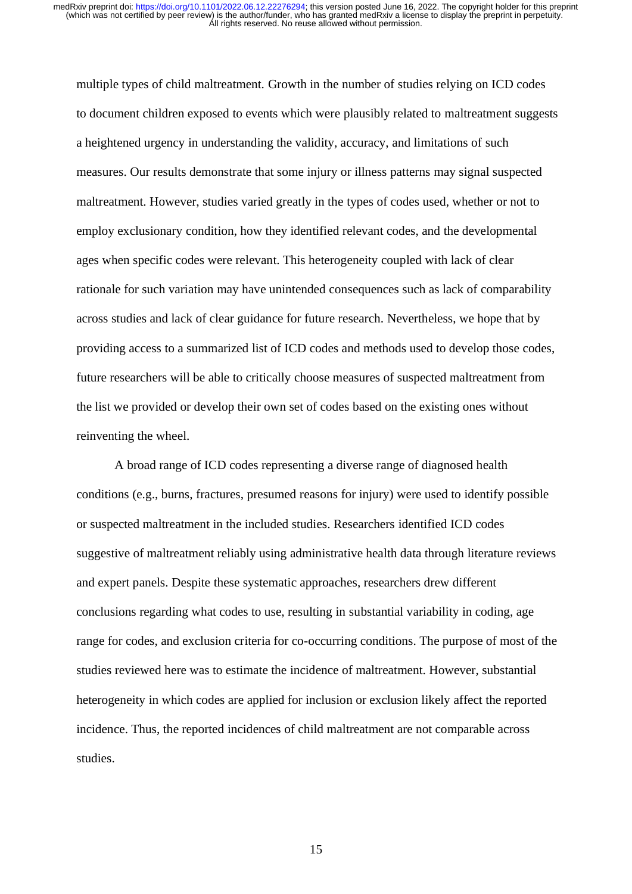multiple types of child maltreatment. Growth in the number of studies relying on ICD codes to document children exposed to events which were plausibly related to maltreatment suggests a heightened urgency in understanding the validity, accuracy, and limitations of such measures. Our results demonstrate that some injury or illness patterns may signal suspected maltreatment. However, studies varied greatly in the types of codes used, whether or not to employ exclusionary condition, how they identified relevant codes, and the developmental ages when specific codes were relevant. This heterogeneity coupled with lack of clear rationale for such variation may have unintended consequences such as lack of comparability across studies and lack of clear guidance for future research. Nevertheless, we hope that by providing access to a summarized list of ICD codes and methods used to develop those codes, future researchers will be able to critically choose measures of suspected maltreatment from the list we provided or develop their own set of codes based on the existing ones without reinventing the wheel.

A broad range of ICD codes representing a diverse range of diagnosed health conditions (e.g., burns, fractures, presumed reasons for injury) were used to identify possible or suspected maltreatment in the included studies. Researchers identified ICD codes suggestive of maltreatment reliably using administrative health data through literature reviews and expert panels. Despite these systematic approaches, researchers drew different conclusions regarding what codes to use, resulting in substantial variability in coding, age range for codes, and exclusion criteria for co-occurring conditions. The purpose of most of the studies reviewed here was to estimate the incidence of maltreatment. However, substantial heterogeneity in which codes are applied for inclusion or exclusion likely affect the reported incidence. Thus, the reported incidences of child maltreatment are not comparable across studies.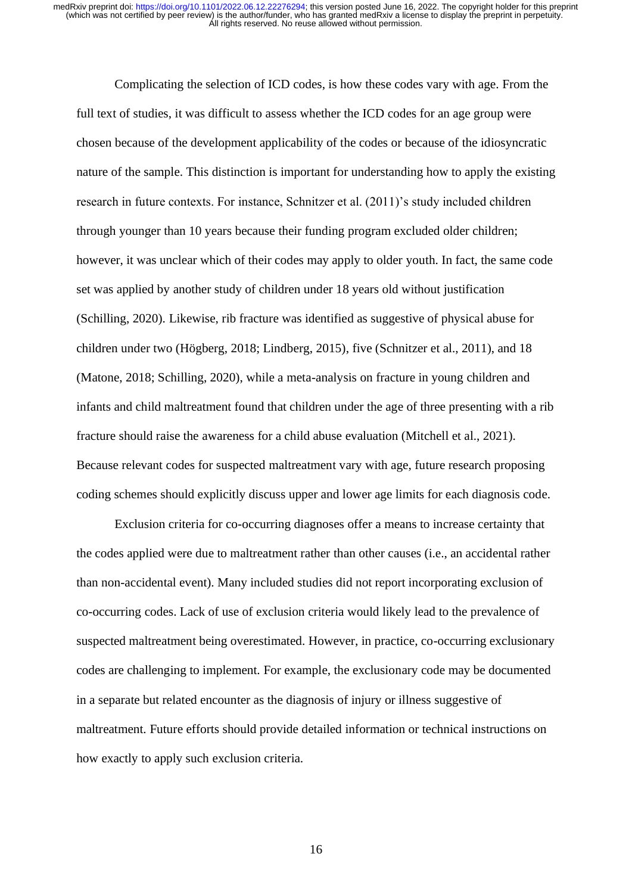Complicating the selection of ICD codes, is how these codes vary with age. From the full text of studies, it was difficult to assess whether the ICD codes for an age group were chosen because of the development applicability of the codes or because of the idiosyncratic nature of the sample. This distinction is important for understanding how to apply the existing research in future contexts. For instance, Schnitzer et al. (2011)'s study included children through younger than 10 years because their funding program excluded older children; however, it was unclear which of their codes may apply to older youth. In fact, the same code set was applied by another study of children under 18 years old without justification (Schilling, 2020). Likewise, rib fracture was identified as suggestive of physical abuse for children under two (Högberg, 2018; Lindberg, 2015), five (Schnitzer et al., 2011), and 18 (Matone, 2018; Schilling, 2020), while a meta-analysis on fracture in young children and infants and child maltreatment found that children under the age of three presenting with a rib fracture should raise the awareness for a child abuse evaluation (Mitchell et al., 2021). Because relevant codes for suspected maltreatment vary with age, future research proposing coding schemes should explicitly discuss upper and lower age limits for each diagnosis code.

Exclusion criteria for co-occurring diagnoses offer a means to increase certainty that the codes applied were due to maltreatment rather than other causes (i.e., an accidental rather than non-accidental event). Many included studies did not report incorporating exclusion of co-occurring codes. Lack of use of exclusion criteria would likely lead to the prevalence of suspected maltreatment being overestimated. However, in practice, co-occurring exclusionary codes are challenging to implement. For example, the exclusionary code may be documented in a separate but related encounter as the diagnosis of injury or illness suggestive of maltreatment. Future efforts should provide detailed information or technical instructions on how exactly to apply such exclusion criteria.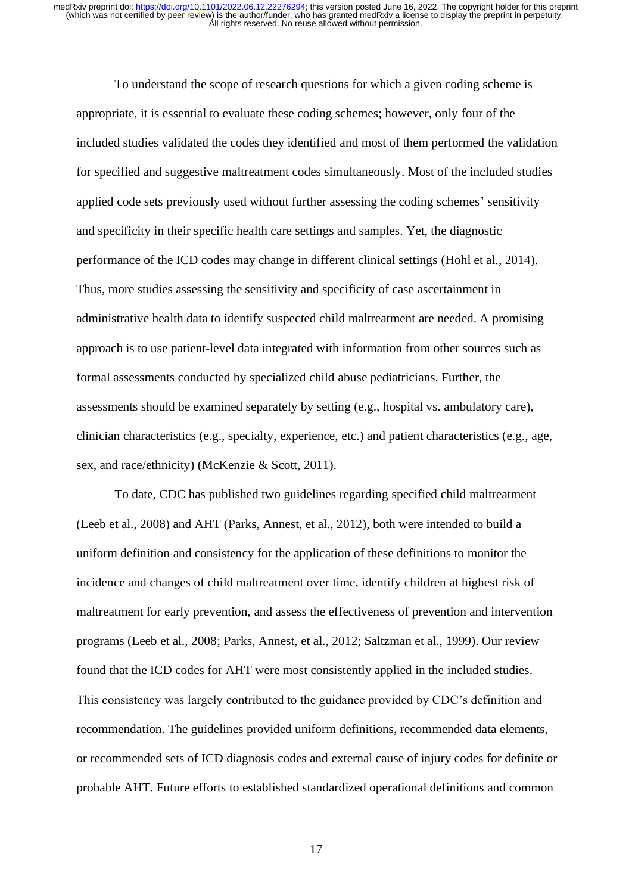To understand the scope of research questions for which a given coding scheme is appropriate, it is essential to evaluate these coding schemes; however, only four of the included studies validated the codes they identified and most of them performed the validation for specified and suggestive maltreatment codes simultaneously. Most of the included studies applied code sets previously used without further assessing the coding schemes' sensitivity and specificity in their specific health care settings and samples. Yet, the diagnostic performance of the ICD codes may change in different clinical settings (Hohl et al., 2014). Thus, more studies assessing the sensitivity and specificity of case ascertainment in administrative health data to identify suspected child maltreatment are needed. A promising approach is to use patient-level data integrated with information from other sources such as formal assessments conducted by specialized child abuse pediatricians. Further, the assessments should be examined separately by setting (e.g., hospital vs. ambulatory care), clinician characteristics (e.g., specialty, experience, etc.) and patient characteristics (e.g., age, sex, and race/ethnicity) (McKenzie & Scott, 2011).

To date, CDC has published two guidelines regarding specified child maltreatment (Leeb et al., 2008) and AHT (Parks, Annest, et al., 2012), both were intended to build a uniform definition and consistency for the application of these definitions to monitor the incidence and changes of child maltreatment over time, identify children at highest risk of maltreatment for early prevention, and assess the effectiveness of prevention and intervention programs (Leeb et al., 2008; Parks, Annest, et al., 2012; Saltzman et al., 1999). Our review found that the ICD codes for AHT were most consistently applied in the included studies. This consistency was largely contributed to the guidance provided by CDC's definition and recommendation. The guidelines provided uniform definitions, recommended data elements, or recommended sets of ICD diagnosis codes and external cause of injury codes for definite or probable AHT. Future efforts to established standardized operational definitions and common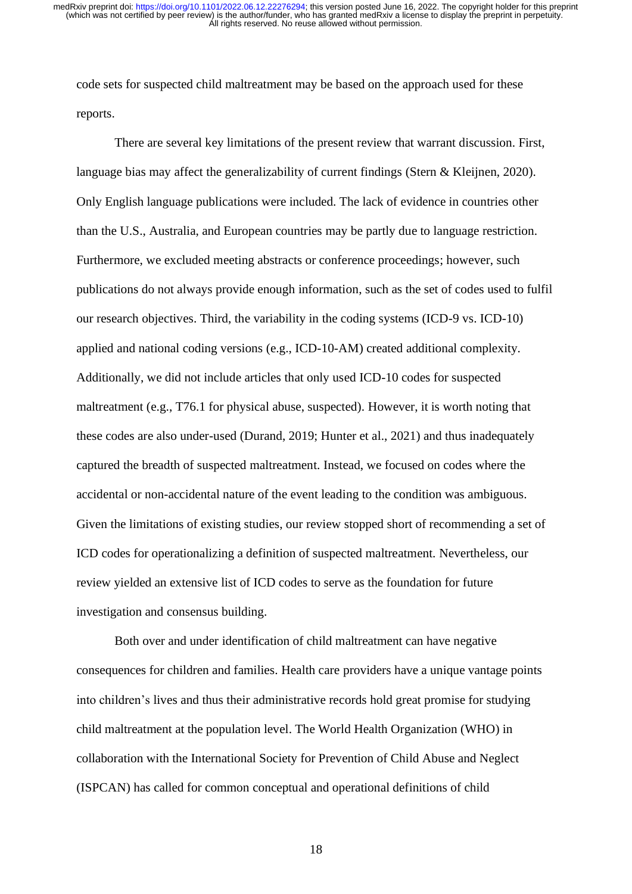code sets for suspected child maltreatment may be based on the approach used for these reports.

There are several key limitations of the present review that warrant discussion. First, language bias may affect the generalizability of current findings (Stern & Kleijnen, 2020). Only English language publications were included. The lack of evidence in countries other than the U.S., Australia, and European countries may be partly due to language restriction. Furthermore, we excluded meeting abstracts or conference proceedings; however, such publications do not always provide enough information, such as the set of codes used to fulfil our research objectives. Third, the variability in the coding systems (ICD-9 vs. ICD-10) applied and national coding versions (e.g., ICD-10-AM) created additional complexity. Additionally, we did not include articles that only used ICD-10 codes for suspected maltreatment (e.g., T76.1 for physical abuse, suspected). However, it is worth noting that these codes are also under-used (Durand, 2019; Hunter et al., 2021) and thus inadequately captured the breadth of suspected maltreatment. Instead, we focused on codes where the accidental or non-accidental nature of the event leading to the condition was ambiguous. Given the limitations of existing studies, our review stopped short of recommending a set of ICD codes for operationalizing a definition of suspected maltreatment. Nevertheless, our review yielded an extensive list of ICD codes to serve as the foundation for future investigation and consensus building.

Both over and under identification of child maltreatment can have negative consequences for children and families. Health care providers have a unique vantage points into children's lives and thus their administrative records hold great promise for studying child maltreatment at the population level. The World Health Organization (WHO) in collaboration with the International Society for Prevention of Child Abuse and Neglect (ISPCAN) has called for common conceptual and operational definitions of child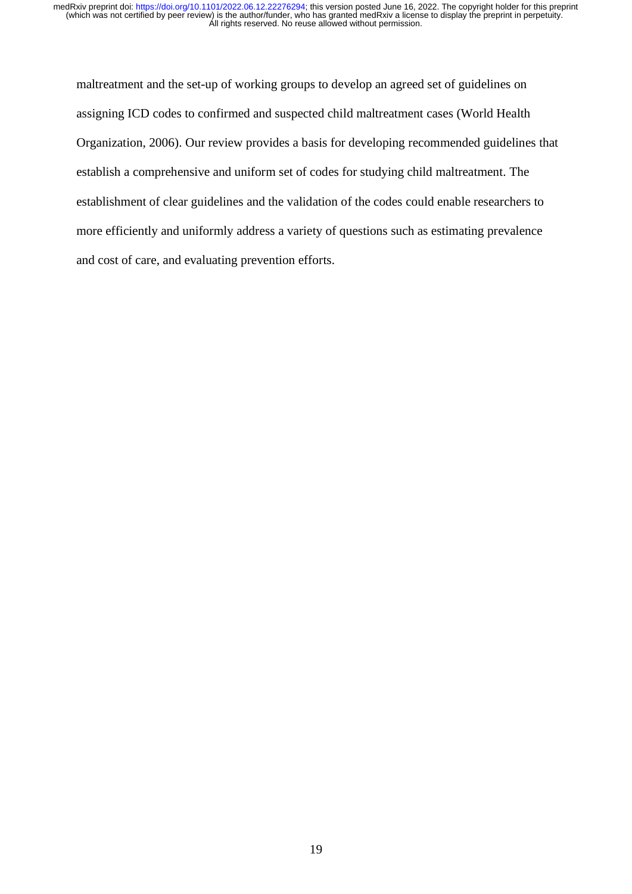maltreatment and the set-up of working groups to develop an agreed set of guidelines on assigning ICD codes to confirmed and suspected child maltreatment cases (World Health Organization, 2006). Our review provides a basis for developing recommended guidelines that establish a comprehensive and uniform set of codes for studying child maltreatment. The establishment of clear guidelines and the validation of the codes could enable researchers to more efficiently and uniformly address a variety of questions such as estimating prevalence and cost of care, and evaluating prevention efforts.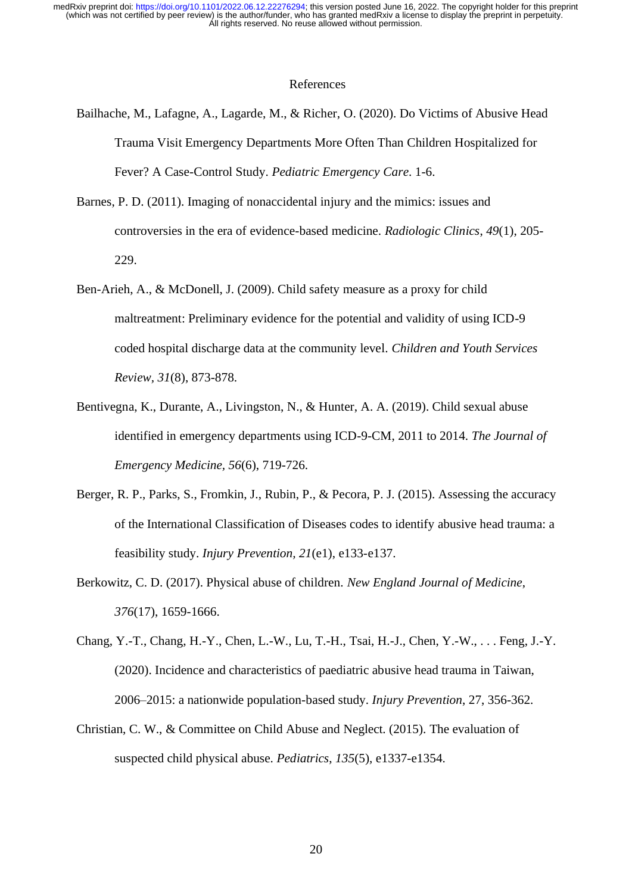#### References

- Bailhache, M., Lafagne, A., Lagarde, M., & Richer, O. (2020). Do Victims of Abusive Head Trauma Visit Emergency Departments More Often Than Children Hospitalized for Fever? A Case-Control Study. *Pediatric Emergency Care*. 1-6.
- Barnes, P. D. (2011). Imaging of nonaccidental injury and the mimics: issues and controversies in the era of evidence-based medicine. *Radiologic Clinics*, *49*(1), 205- 229.
- Ben-Arieh, A., & McDonell, J. (2009). Child safety measure as a proxy for child maltreatment: Preliminary evidence for the potential and validity of using ICD-9 coded hospital discharge data at the community level. *Children and Youth Services Review, 31*(8), 873-878.
- Bentivegna, K., Durante, A., Livingston, N., & Hunter, A. A. (2019). Child sexual abuse identified in emergency departments using ICD-9-CM, 2011 to 2014. *The Journal of Emergency Medicine, 56*(6), 719-726.
- Berger, R. P., Parks, S., Fromkin, J., Rubin, P., & Pecora, P. J. (2015). Assessing the accuracy of the International Classification of Diseases codes to identify abusive head trauma: a feasibility study. *Injury Prevention, 21*(e1), e133-e137.
- Berkowitz, C. D. (2017). Physical abuse of children. *New England Journal of Medicine*, *376*(17), 1659-1666.
- Chang, Y.-T., Chang, H.-Y., Chen, L.-W., Lu, T.-H., Tsai, H.-J., Chen, Y.-W., . . . Feng, J.-Y. (2020). Incidence and characteristics of paediatric abusive head trauma in Taiwan, 2006–2015: a nationwide population-based study. *Injury Prevention*, 27, 356-362.
- Christian, C. W., & Committee on Child Abuse and Neglect. (2015). The evaluation of suspected child physical abuse. *Pediatrics*, *135*(5), e1337-e1354.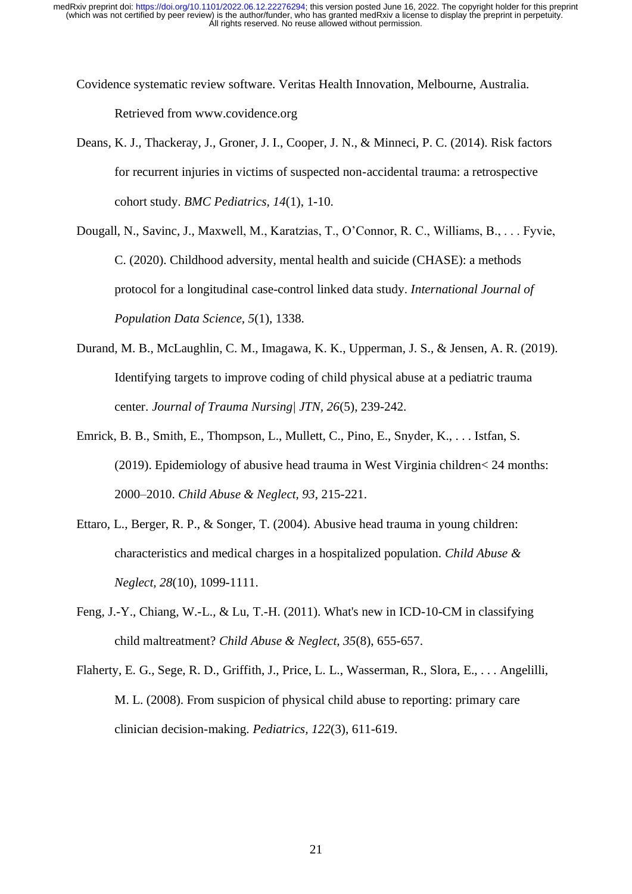Covidence systematic review software. Veritas Health Innovation, Melbourne, Australia. Retrieved from www.covidence.org

Deans, K. J., Thackeray, J., Groner, J. I., Cooper, J. N., & Minneci, P. C. (2014). Risk factors for recurrent injuries in victims of suspected non-accidental trauma: a retrospective cohort study. *BMC Pediatrics, 14*(1), 1-10.

Dougall, N., Savinc, J., Maxwell, M., Karatzias, T., O'Connor, R. C., Williams, B., . . . Fyvie, C. (2020). Childhood adversity, mental health and suicide (CHASE): a methods protocol for a longitudinal case-control linked data study. *International Journal of Population Data Science, 5*(1), 1338.

- Durand, M. B., McLaughlin, C. M., Imagawa, K. K., Upperman, J. S., & Jensen, A. R. (2019). Identifying targets to improve coding of child physical abuse at a pediatric trauma center. *Journal of Trauma Nursing| JTN, 26*(5), 239-242.
- Emrick, B. B., Smith, E., Thompson, L., Mullett, C., Pino, E., Snyder, K., . . . Istfan, S. (2019). Epidemiology of abusive head trauma in West Virginia children< 24 months: 2000–2010. *Child Abuse & Neglect, 93*, 215-221.
- Ettaro, L., Berger, R. P., & Songer, T. (2004). Abusive head trauma in young children: characteristics and medical charges in a hospitalized population. *Child Abuse & Neglect, 28*(10), 1099-1111.
- Feng, J.-Y., Chiang, W.-L., & Lu, T.-H. (2011). What's new in ICD-10-CM in classifying child maltreatment? *Child Abuse & Neglect, 35*(8), 655-657.
- Flaherty, E. G., Sege, R. D., Griffith, J., Price, L. L., Wasserman, R., Slora, E., . . . Angelilli, M. L. (2008). From suspicion of physical child abuse to reporting: primary care clinician decision-making. *Pediatrics, 122*(3), 611-619.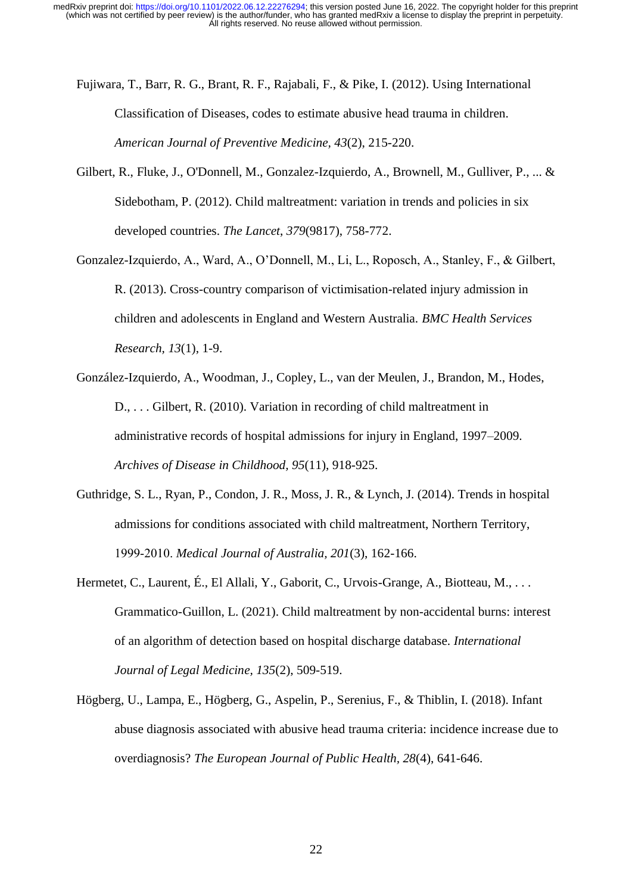Fujiwara, T., Barr, R. G., Brant, R. F., Rajabali, F., & Pike, I. (2012). Using International Classification of Diseases, codes to estimate abusive head trauma in children. *American Journal of Preventive Medicine, 43*(2), 215-220.

- Gilbert, R., Fluke, J., O'Donnell, M., Gonzalez-Izquierdo, A., Brownell, M., Gulliver, P., ... & Sidebotham, P. (2012). Child maltreatment: variation in trends and policies in six developed countries. *The Lancet*, *379*(9817), 758-772.
- Gonzalez-Izquierdo, A., Ward, A., O'Donnell, M., Li, L., Roposch, A., Stanley, F., & Gilbert, R. (2013). Cross-country comparison of victimisation-related injury admission in children and adolescents in England and Western Australia. *BMC Health Services Research, 13*(1), 1-9.
- González-Izquierdo, A., Woodman, J., Copley, L., van der Meulen, J., Brandon, M., Hodes, D., . . . Gilbert, R. (2010). Variation in recording of child maltreatment in administrative records of hospital admissions for injury in England, 1997–2009. *Archives of Disease in Childhood, 95*(11), 918-925.
- Guthridge, S. L., Ryan, P., Condon, J. R., Moss, J. R., & Lynch, J. (2014). Trends in hospital admissions for conditions associated with child maltreatment, Northern Territory, 1999‐2010. *Medical Journal of Australia, 201*(3), 162-166.
- Hermetet, C., Laurent, É., El Allali, Y., Gaborit, C., Urvois-Grange, A., Biotteau, M., ... Grammatico-Guillon, L. (2021). Child maltreatment by non-accidental burns: interest of an algorithm of detection based on hospital discharge database. *International Journal of Legal Medicine, 135*(2), 509-519.
- Högberg, U., Lampa, E., Högberg, G., Aspelin, P., Serenius, F., & Thiblin, I. (2018). Infant abuse diagnosis associated with abusive head trauma criteria: incidence increase due to overdiagnosis? *The European Journal of Public Health, 28*(4), 641-646.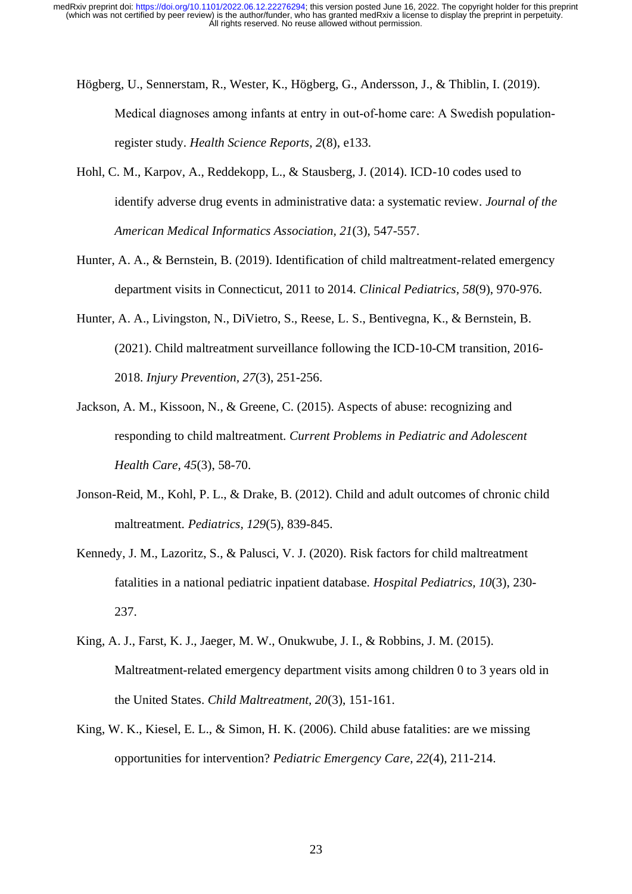- Högberg, U., Sennerstam, R., Wester, K., Högberg, G., Andersson, J., & Thiblin, I. (2019). Medical diagnoses among infants at entry in out-of-home care: A Swedish populationregister study. *Health Science Reports, 2*(8), e133.
- Hohl, C. M., Karpov, A., Reddekopp, L., & Stausberg, J. (2014). ICD-10 codes used to identify adverse drug events in administrative data: a systematic review. *Journal of the American Medical Informatics Association, 21*(3), 547-557.
- Hunter, A. A., & Bernstein, B. (2019). Identification of child maltreatment-related emergency department visits in Connecticut, 2011 to 2014. *Clinical Pediatrics, 58*(9), 970-976.
- Hunter, A. A., Livingston, N., DiVietro, S., Reese, L. S., Bentivegna, K., & Bernstein, B. (2021). Child maltreatment surveillance following the ICD-10-CM transition, 2016- 2018. *Injury Prevention, 27*(3), 251-256.
- Jackson, A. M., Kissoon, N., & Greene, C. (2015). Aspects of abuse: recognizing and responding to child maltreatment. *Current Problems in Pediatric and Adolescent Health Care, 45*(3), 58-70.
- Jonson-Reid, M., Kohl, P. L., & Drake, B. (2012). Child and adult outcomes of chronic child maltreatment. *Pediatrics, 129*(5), 839-845.
- Kennedy, J. M., Lazoritz, S., & Palusci, V. J. (2020). Risk factors for child maltreatment fatalities in a national pediatric inpatient database. *Hospital Pediatrics, 10*(3), 230- 237.
- King, A. J., Farst, K. J., Jaeger, M. W., Onukwube, J. I., & Robbins, J. M. (2015). Maltreatment-related emergency department visits among children 0 to 3 years old in the United States. *Child Maltreatment, 20*(3), 151-161.
- King, W. K., Kiesel, E. L., & Simon, H. K. (2006). Child abuse fatalities: are we missing opportunities for intervention? *Pediatric Emergency Care, 22*(4), 211-214.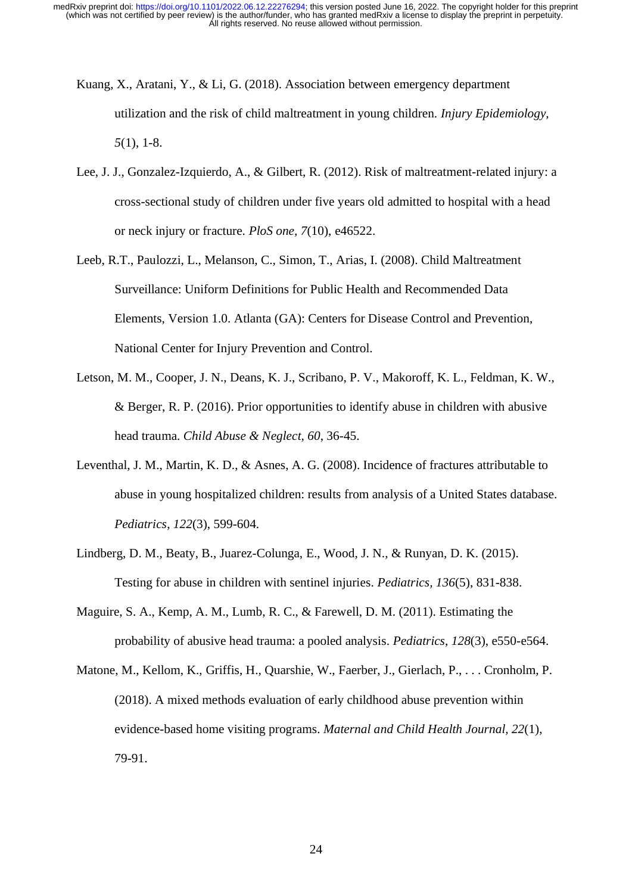- Kuang, X., Aratani, Y., & Li, G. (2018). Association between emergency department utilization and the risk of child maltreatment in young children. *Injury Epidemiology, 5*(1), 1-8.
- Lee, J. J., Gonzalez-Izquierdo, A., & Gilbert, R. (2012). Risk of maltreatment-related injury: a cross-sectional study of children under five years old admitted to hospital with a head or neck injury or fracture. *PloS one, 7*(10), e46522.
- Leeb, R.T., Paulozzi, L., Melanson, C., Simon, T., Arias, I. (2008). Child Maltreatment Surveillance: Uniform Definitions for Public Health and Recommended Data Elements, Version 1.0. Atlanta (GA): Centers for Disease Control and Prevention, National Center for Injury Prevention and Control.
- Letson, M. M., Cooper, J. N., Deans, K. J., Scribano, P. V., Makoroff, K. L., Feldman, K. W., & Berger, R. P. (2016). Prior opportunities to identify abuse in children with abusive head trauma. *Child Abuse & Neglect, 60*, 36-45.
- Leventhal, J. M., Martin, K. D., & Asnes, A. G. (2008). Incidence of fractures attributable to abuse in young hospitalized children: results from analysis of a United States database. *Pediatrics*, *122*(3), 599-604.
- Lindberg, D. M., Beaty, B., Juarez-Colunga, E., Wood, J. N., & Runyan, D. K. (2015). Testing for abuse in children with sentinel injuries. *Pediatrics, 136*(5), 831-838.
- Maguire, S. A., Kemp, A. M., Lumb, R. C., & Farewell, D. M. (2011). Estimating the probability of abusive head trauma: a pooled analysis. *Pediatrics*, *128*(3), e550-e564.
- Matone, M., Kellom, K., Griffis, H., Quarshie, W., Faerber, J., Gierlach, P., . . . Cronholm, P. (2018). A mixed methods evaluation of early childhood abuse prevention within evidence-based home visiting programs. *Maternal and Child Health Journal, 22*(1), 79-91.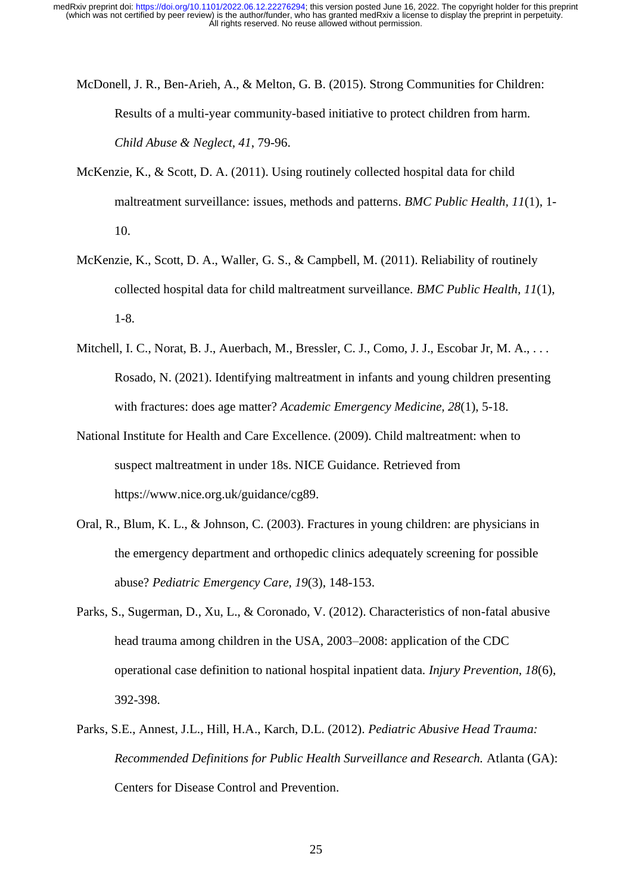- McDonell, J. R., Ben-Arieh, A., & Melton, G. B. (2015). Strong Communities for Children: Results of a multi-year community-based initiative to protect children from harm. *Child Abuse & Neglect, 41*, 79-96.
- McKenzie, K., & Scott, D. A. (2011). Using routinely collected hospital data for child maltreatment surveillance: issues, methods and patterns. *BMC Public Health, 11*(1), 1- 10.
- McKenzie, K., Scott, D. A., Waller, G. S., & Campbell, M. (2011). Reliability of routinely collected hospital data for child maltreatment surveillance. *BMC Public Health, 11*(1), 1-8.
- Mitchell, I. C., Norat, B. J., Auerbach, M., Bressler, C. J., Como, J. J., Escobar Jr, M. A., ... Rosado, N. (2021). Identifying maltreatment in infants and young children presenting with fractures: does age matter? *Academic Emergency Medicine, 28*(1), 5-18.
- National Institute for Health and Care Excellence. (2009). Child maltreatment: when to suspect maltreatment in under 18s. NICE Guidance. Retrieved from https://www.nice.org.uk/guidance/cg89.
- Oral, R., Blum, K. L., & Johnson, C. (2003). Fractures in young children: are physicians in the emergency department and orthopedic clinics adequately screening for possible abuse? *Pediatric Emergency Care, 19*(3), 148-153.
- Parks, S., Sugerman, D., Xu, L., & Coronado, V. (2012). Characteristics of non-fatal abusive head trauma among children in the USA, 2003–2008: application of the CDC operational case definition to national hospital inpatient data. *Injury Prevention, 18*(6), 392-398.
- Parks, S.E., Annest, J.L., Hill, H.A., Karch, D.L. (2012). *Pediatric Abusive Head Trauma: Recommended Definitions for Public Health Surveillance and Research.* Atlanta (GA): Centers for Disease Control and Prevention.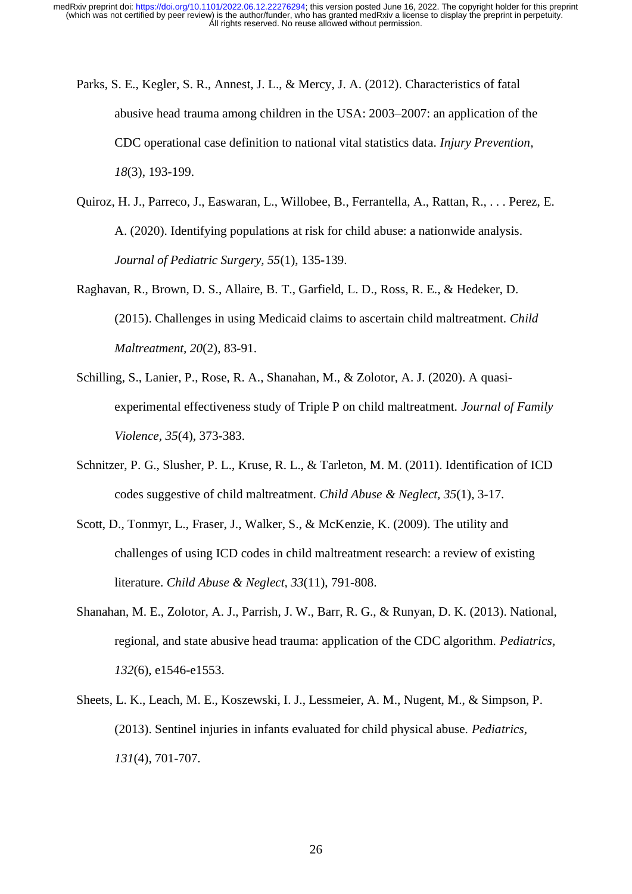- Parks, S. E., Kegler, S. R., Annest, J. L., & Mercy, J. A. (2012). Characteristics of fatal abusive head trauma among children in the USA: 2003–2007: an application of the CDC operational case definition to national vital statistics data. *Injury Prevention, 18*(3), 193-199.
- Quiroz, H. J., Parreco, J., Easwaran, L., Willobee, B., Ferrantella, A., Rattan, R., . . . Perez, E. A. (2020). Identifying populations at risk for child abuse: a nationwide analysis. *Journal of Pediatric Surgery, 55*(1), 135-139.
- Raghavan, R., Brown, D. S., Allaire, B. T., Garfield, L. D., Ross, R. E., & Hedeker, D. (2015). Challenges in using Medicaid claims to ascertain child maltreatment. *Child Maltreatment, 20*(2), 83-91.
- Schilling, S., Lanier, P., Rose, R. A., Shanahan, M., & Zolotor, A. J. (2020). A quasiexperimental effectiveness study of Triple P on child maltreatment. *Journal of Family Violence, 35*(4), 373-383.
- Schnitzer, P. G., Slusher, P. L., Kruse, R. L., & Tarleton, M. M. (2011). Identification of ICD codes suggestive of child maltreatment. *Child Abuse & Neglect, 35*(1), 3-17.
- Scott, D., Tonmyr, L., Fraser, J., Walker, S., & McKenzie, K. (2009). The utility and challenges of using ICD codes in child maltreatment research: a review of existing literature. *Child Abuse & Neglect, 33*(11), 791-808.
- Shanahan, M. E., Zolotor, A. J., Parrish, J. W., Barr, R. G., & Runyan, D. K. (2013). National, regional, and state abusive head trauma: application of the CDC algorithm. *Pediatrics, 132*(6), e1546-e1553.
- Sheets, L. K., Leach, M. E., Koszewski, I. J., Lessmeier, A. M., Nugent, M., & Simpson, P. (2013). Sentinel injuries in infants evaluated for child physical abuse. *Pediatrics, 131*(4), 701-707.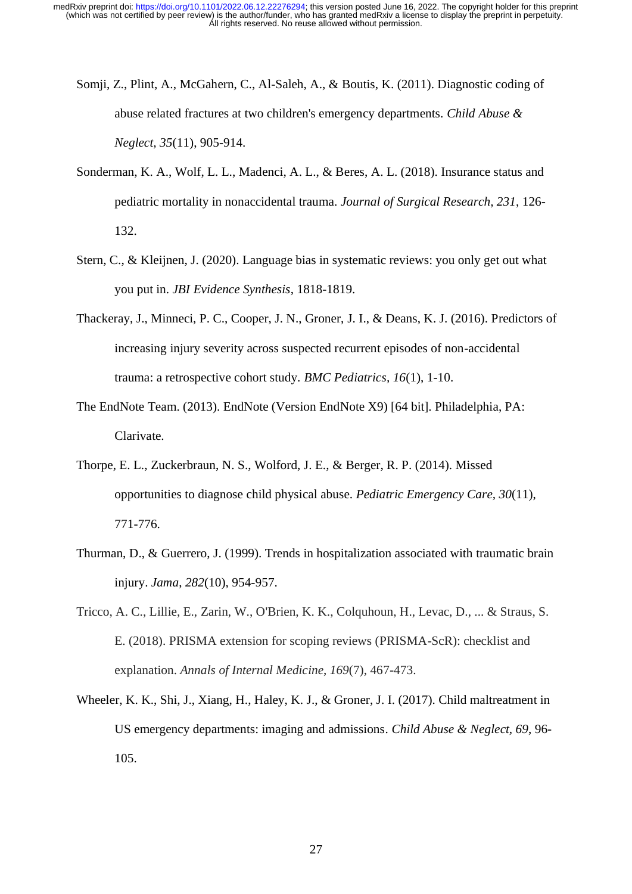- Somji, Z., Plint, A., McGahern, C., Al-Saleh, A., & Boutis, K. (2011). Diagnostic coding of abuse related fractures at two children's emergency departments. *Child Abuse & Neglect, 35*(11), 905-914.
- Sonderman, K. A., Wolf, L. L., Madenci, A. L., & Beres, A. L. (2018). Insurance status and pediatric mortality in nonaccidental trauma. *Journal of Surgical Research, 231*, 126- 132.
- Stern, C., & Kleijnen, J. (2020). Language bias in systematic reviews: you only get out what you put in. *JBI Evidence Synthesis*, 1818-1819.
- Thackeray, J., Minneci, P. C., Cooper, J. N., Groner, J. I., & Deans, K. J. (2016). Predictors of increasing injury severity across suspected recurrent episodes of non-accidental trauma: a retrospective cohort study. *BMC Pediatrics, 16*(1), 1-10.
- The EndNote Team. (2013). EndNote (Version EndNote X9) [64 bit]. Philadelphia, PA: Clarivate.
- Thorpe, E. L., Zuckerbraun, N. S., Wolford, J. E., & Berger, R. P. (2014). Missed opportunities to diagnose child physical abuse. *Pediatric Emergency Care, 30*(11), 771-776.
- Thurman, D., & Guerrero, J. (1999). Trends in hospitalization associated with traumatic brain injury. *Jama*, *282*(10), 954-957.
- Tricco, A. C., Lillie, E., Zarin, W., O'Brien, K. K., Colquhoun, H., Levac, D., ... & Straus, S. E. (2018). PRISMA extension for scoping reviews (PRISMA-ScR): checklist and explanation. *Annals of Internal Medicine*, *169*(7), 467-473.
- Wheeler, K. K., Shi, J., Xiang, H., Haley, K. J., & Groner, J. I. (2017). Child maltreatment in US emergency departments: imaging and admissions. *Child Abuse & Neglect, 69*, 96- 105.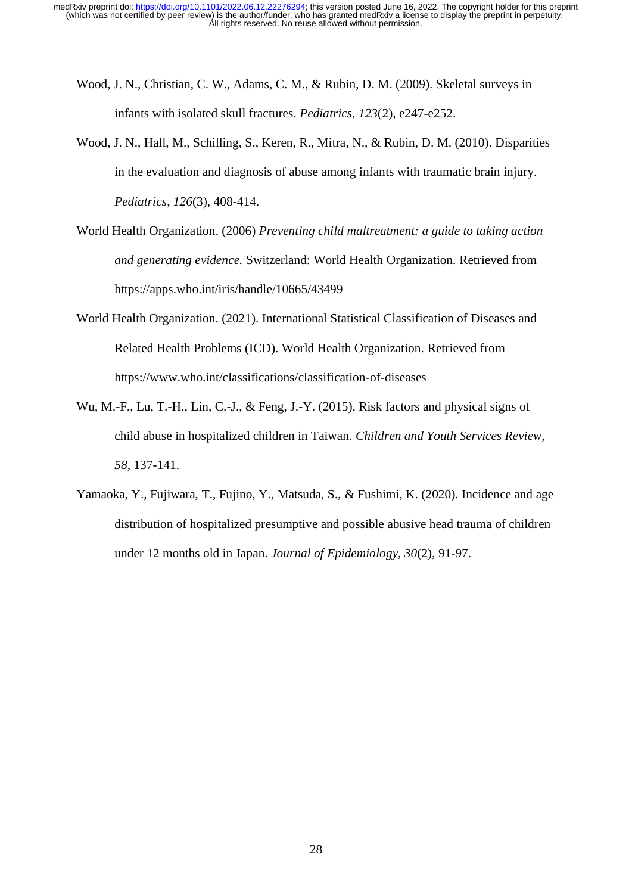- Wood, J. N., Christian, C. W., Adams, C. M., & Rubin, D. M. (2009). Skeletal surveys in infants with isolated skull fractures. *Pediatrics*, *123*(2), e247-e252.
- Wood, J. N., Hall, M., Schilling, S., Keren, R., Mitra, N., & Rubin, D. M. (2010). Disparities in the evaluation and diagnosis of abuse among infants with traumatic brain injury. *Pediatrics*, *126*(3), 408-414.
- World Health Organization. (2006) *Preventing child maltreatment: a guide to taking action and generating evidence.* Switzerland: World Health Organization. Retrieved from https://apps.who.int/iris/handle/10665/43499
- World Health Organization. (2021). International Statistical Classification of Diseases and Related Health Problems (ICD). World Health Organization. Retrieved from <https://www.who.int/classifications/classification-of-diseases>
- Wu, M.-F., Lu, T.-H., Lin, C.-J., & Feng, J.-Y. (2015). Risk factors and physical signs of child abuse in hospitalized children in Taiwan. *Children and Youth Services Review, 58*, 137-141.
- Yamaoka, Y., Fujiwara, T., Fujino, Y., Matsuda, S., & Fushimi, K. (2020). Incidence and age distribution of hospitalized presumptive and possible abusive head trauma of children under 12 months old in Japan. *Journal of Epidemiology, 30*(2), 91-97.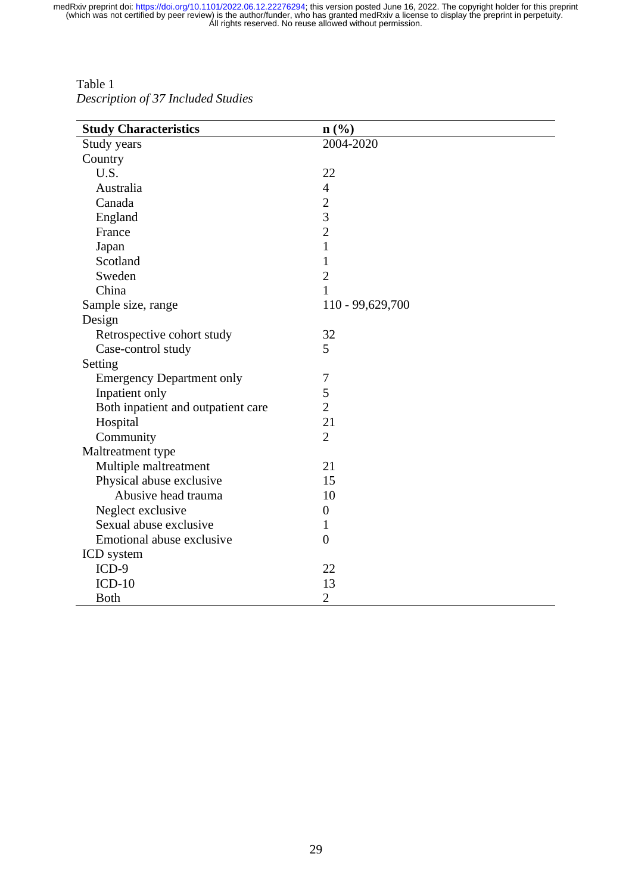Table 1 *Description of 37 Included Studies*

| <b>Study Characteristics</b>       | $n\left(\frac{0}{0}\right)$ |
|------------------------------------|-----------------------------|
| Study years                        | 2004-2020                   |
| Country                            |                             |
| U.S.                               | 22                          |
| Australia                          | $\overline{4}$              |
| Canada                             | $\overline{2}$              |
| England                            | $\overline{3}$              |
| France                             | $\overline{2}$              |
| Japan                              | $\mathbf{1}$                |
| Scotland                           | $\mathbf{1}$                |
| Sweden                             | $\mathbf{2}$                |
| China                              | $\mathbf{1}$                |
| Sample size, range                 | 110 - 99,629,700            |
| Design                             |                             |
| Retrospective cohort study         | 32                          |
| Case-control study                 | 5                           |
| Setting                            |                             |
| <b>Emergency Department only</b>   | 7                           |
| Inpatient only                     | 5                           |
| Both inpatient and outpatient care | $\overline{2}$              |
| Hospital                           | 21                          |
| Community                          | $\overline{2}$              |
| Maltreatment type                  |                             |
| Multiple maltreatment              | 21                          |
| Physical abuse exclusive           | 15                          |
| Abusive head trauma                | 10                          |
| Neglect exclusive                  | $\boldsymbol{0}$            |
| Sexual abuse exclusive             | 1                           |
| Emotional abuse exclusive          | $\overline{0}$              |
| ICD system                         |                             |
| $ICD-9$                            | 22                          |
| $ICD-10$                           | 13                          |
| <b>Both</b>                        | $\overline{2}$              |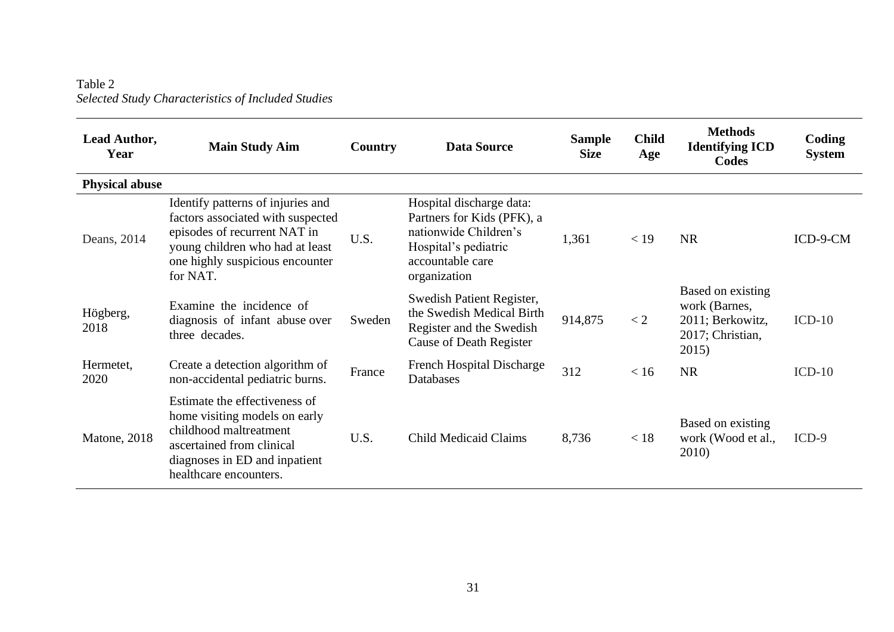Table 2 *Selected Study Characteristics of Included Studies*

| Lead Author,<br>Year  | <b>Main Study Aim</b>                                                                                                                                                                    | Country | <b>Data Source</b>                                                                                                                          | <b>Sample</b><br><b>Size</b> | <b>Child</b><br>Age | <b>Methods</b><br><b>Identifying ICD</b><br>Codes                                   | Coding<br><b>System</b> |
|-----------------------|------------------------------------------------------------------------------------------------------------------------------------------------------------------------------------------|---------|---------------------------------------------------------------------------------------------------------------------------------------------|------------------------------|---------------------|-------------------------------------------------------------------------------------|-------------------------|
| <b>Physical abuse</b> |                                                                                                                                                                                          |         |                                                                                                                                             |                              |                     |                                                                                     |                         |
| Deans, 2014           | Identify patterns of injuries and<br>factors associated with suspected<br>episodes of recurrent NAT in<br>young children who had at least<br>one highly suspicious encounter<br>for NAT. | U.S.    | Hospital discharge data:<br>Partners for Kids (PFK), a<br>nationwide Children's<br>Hospital's pediatric<br>accountable care<br>organization | 1,361                        | $<$ 19              | <b>NR</b>                                                                           | ICD-9-CM                |
| Högberg,<br>2018      | Examine the incidence of<br>diagnosis of infant abuse over<br>three decades.                                                                                                             | Sweden  | Swedish Patient Register,<br>the Swedish Medical Birth<br>Register and the Swedish<br><b>Cause of Death Register</b>                        | 914,875                      | $\lt 2$             | Based on existing<br>work (Barnes,<br>2011; Berkowitz,<br>2017; Christian,<br>2015) | $ICD-10$                |
| Hermetet,<br>2020     | Create a detection algorithm of<br>non-accidental pediatric burns.                                                                                                                       | France  | French Hospital Discharge<br>Databases                                                                                                      | 312                          | < 16                | <b>NR</b>                                                                           | $ICD-10$                |
| Matone, 2018          | Estimate the effectiveness of<br>home visiting models on early<br>childhood maltreatment<br>ascertained from clinical<br>diagnoses in ED and inpatient<br>healthcare encounters.         | U.S.    | <b>Child Medicaid Claims</b>                                                                                                                | 8,736                        | < 18                | Based on existing<br>work (Wood et al.,<br>2010)                                    | $ICD-9$                 |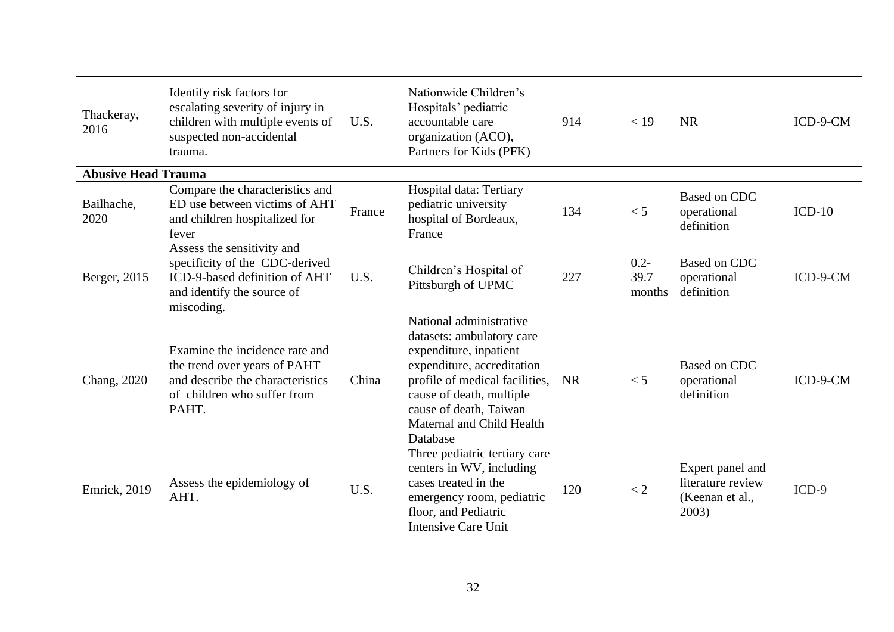| Thackeray,<br>2016         | Identify risk factors for<br>escalating severity of injury in<br>children with multiple events of<br>suspected non-accidental<br>trauma.   | U.S.   | Nationwide Children's<br>Hospitals' pediatric<br>accountable care<br>organization (ACO),<br>Partners for Kids (PFK)                                                                                                                           | 914       | < 19                      | <b>NR</b>                                                         | ICD-9-CM |
|----------------------------|--------------------------------------------------------------------------------------------------------------------------------------------|--------|-----------------------------------------------------------------------------------------------------------------------------------------------------------------------------------------------------------------------------------------------|-----------|---------------------------|-------------------------------------------------------------------|----------|
| <b>Abusive Head Trauma</b> |                                                                                                                                            |        |                                                                                                                                                                                                                                               |           |                           |                                                                   |          |
| Bailhache,<br>2020         | Compare the characteristics and<br>ED use between victims of AHT<br>and children hospitalized for<br>fever                                 | France | Hospital data: Tertiary<br>pediatric university<br>hospital of Bordeaux,<br>France                                                                                                                                                            | 134       | < 5                       | <b>Based on CDC</b><br>operational<br>definition                  | $ICD-10$ |
| Berger, 2015               | Assess the sensitivity and<br>specificity of the CDC-derived<br>ICD-9-based definition of AHT<br>and identify the source of<br>miscoding.  | U.S.   | Children's Hospital of<br>Pittsburgh of UPMC                                                                                                                                                                                                  | 227       | $0.2 -$<br>39.7<br>months | <b>Based on CDC</b><br>operational<br>definition                  | ICD-9-CM |
| Chang, 2020                | Examine the incidence rate and<br>the trend over years of PAHT<br>and describe the characteristics<br>of children who suffer from<br>PAHT. | China  | National administrative<br>datasets: ambulatory care<br>expenditure, inpatient<br>expenditure, accreditation<br>profile of medical facilities,<br>cause of death, multiple<br>cause of death, Taiwan<br>Maternal and Child Health<br>Database | <b>NR</b> | < 5                       | <b>Based on CDC</b><br>operational<br>definition                  | ICD-9-CM |
| <b>Emrick</b> , 2019       | Assess the epidemiology of<br>AHT.                                                                                                         | U.S.   | Three pediatric tertiary care<br>centers in WV, including<br>cases treated in the<br>emergency room, pediatric<br>floor, and Pediatric<br><b>Intensive Care Unit</b>                                                                          | 120       | < 2                       | Expert panel and<br>literature review<br>(Keenan et al.,<br>2003) | $ICD-9$  |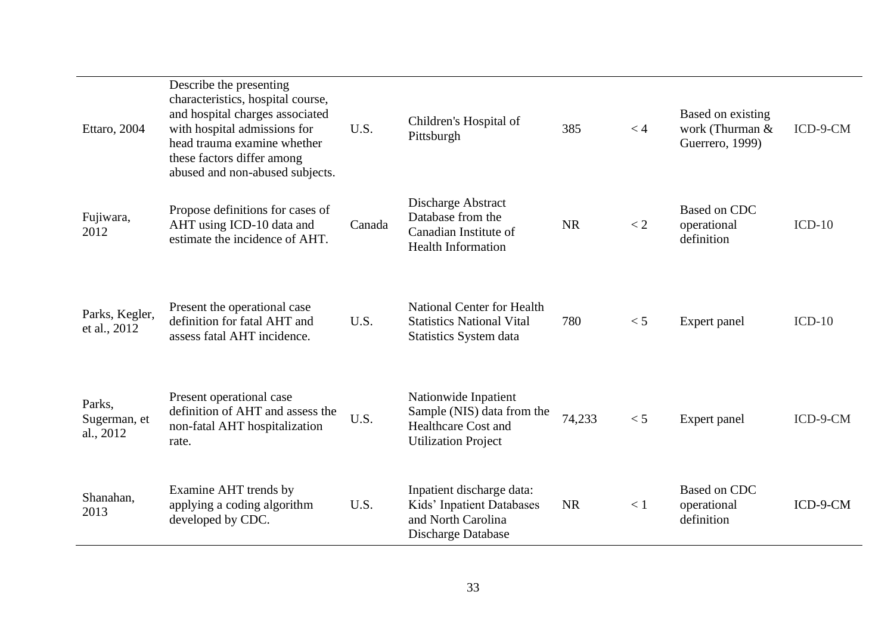| Ettaro, 2004                        | Describe the presenting<br>characteristics, hospital course,<br>and hospital charges associated<br>with hospital admissions for<br>head trauma examine whether<br>these factors differ among<br>abused and non-abused subjects. | U.S.   | Children's Hospital of<br>Pittsburgh                                                                           | 385       | < 4     | Based on existing<br>work (Thurman &<br>Guerrero, 1999) | ICD-9-CM |
|-------------------------------------|---------------------------------------------------------------------------------------------------------------------------------------------------------------------------------------------------------------------------------|--------|----------------------------------------------------------------------------------------------------------------|-----------|---------|---------------------------------------------------------|----------|
| Fujiwara,<br>2012                   | Propose definitions for cases of<br>AHT using ICD-10 data and<br>estimate the incidence of AHT.                                                                                                                                 | Canada | Discharge Abstract<br>Database from the<br>Canadian Institute of<br><b>Health Information</b>                  | <b>NR</b> | $\lt 2$ | <b>Based on CDC</b><br>operational<br>definition        | $ICD-10$ |
| Parks, Kegler,<br>et al., 2012      | Present the operational case<br>definition for fatal AHT and<br>assess fatal AHT incidence.                                                                                                                                     | U.S.   | <b>National Center for Health</b><br><b>Statistics National Vital</b><br>Statistics System data                | 780       | < 5     | Expert panel                                            | $ICD-10$ |
| Parks,<br>Sugerman, et<br>al., 2012 | Present operational case<br>definition of AHT and assess the<br>non-fatal AHT hospitalization<br>rate.                                                                                                                          | U.S.   | Nationwide Inpatient<br>Sample (NIS) data from the<br><b>Healthcare Cost and</b><br><b>Utilization Project</b> | 74,233    | < 5     | Expert panel                                            | ICD-9-CM |
| Shanahan,<br>2013                   | Examine AHT trends by<br>applying a coding algorithm<br>developed by CDC.                                                                                                                                                       | U.S.   | Inpatient discharge data:<br>Kids' Inpatient Databases<br>and North Carolina<br>Discharge Database             | <b>NR</b> | < 1     | <b>Based on CDC</b><br>operational<br>definition        | ICD-9-CM |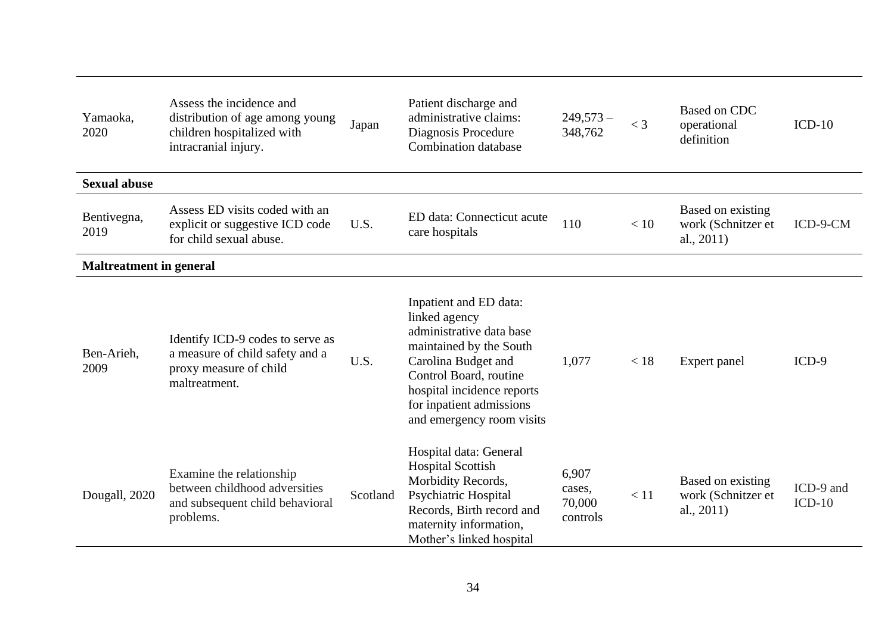| Yamaoka,<br>2020               | Assess the incidence and<br>distribution of age among young<br>children hospitalized with<br>intracranial injury. | Japan    | Patient discharge and<br>administrative claims:<br>Diagnosis Procedure<br><b>Combination database</b>                                                                                                                                  | $249,573-$<br>348,762                 | $<$ 3 | Based on CDC<br>operational<br>definition                | $ICD-10$              |
|--------------------------------|-------------------------------------------------------------------------------------------------------------------|----------|----------------------------------------------------------------------------------------------------------------------------------------------------------------------------------------------------------------------------------------|---------------------------------------|-------|----------------------------------------------------------|-----------------------|
| <b>Sexual abuse</b>            |                                                                                                                   |          |                                                                                                                                                                                                                                        |                                       |       |                                                          |                       |
| Bentivegna,<br>2019            | Assess ED visits coded with an<br>explicit or suggestive ICD code<br>for child sexual abuse.                      | U.S.     | ED data: Connecticut acute<br>care hospitals                                                                                                                                                                                           | 110                                   | < 10  | Based on existing<br>work (Schnitzer et<br>al., $2011$ ) | ICD-9-CM              |
| <b>Maltreatment in general</b> |                                                                                                                   |          |                                                                                                                                                                                                                                        |                                       |       |                                                          |                       |
| Ben-Arieh,<br>2009             | Identify ICD-9 codes to serve as<br>a measure of child safety and a<br>proxy measure of child<br>maltreatment.    | U.S.     | Inpatient and ED data:<br>linked agency<br>administrative data base<br>maintained by the South<br>Carolina Budget and<br>Control Board, routine<br>hospital incidence reports<br>for inpatient admissions<br>and emergency room visits | 1,077                                 | < 18  | Expert panel                                             | $ICD-9$               |
| Dougall, 2020                  | Examine the relationship<br>between childhood adversities<br>and subsequent child behavioral<br>problems.         | Scotland | Hospital data: General<br><b>Hospital Scottish</b><br>Morbidity Records,<br><b>Psychiatric Hospital</b><br>Records, Birth record and<br>maternity information,<br>Mother's linked hospital                                             | 6,907<br>cases,<br>70,000<br>controls | < 11  | Based on existing<br>work (Schnitzer et<br>al., $2011$ ) | ICD-9 and<br>$ICD-10$ |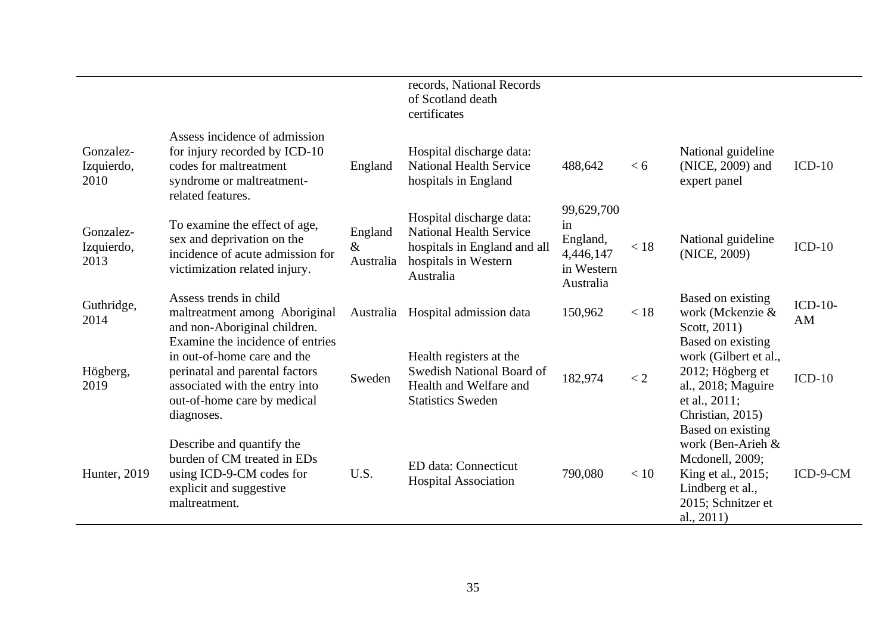|                                 |                                                                                                                                                                                  |                              | records, National Records<br>of Scotland death<br>certificates                                                                  |                                                                      |      |                                                                                                                                            |                 |
|---------------------------------|----------------------------------------------------------------------------------------------------------------------------------------------------------------------------------|------------------------------|---------------------------------------------------------------------------------------------------------------------------------|----------------------------------------------------------------------|------|--------------------------------------------------------------------------------------------------------------------------------------------|-----------------|
| Gonzalez-<br>Izquierdo,<br>2010 | Assess incidence of admission<br>for injury recorded by ICD-10<br>codes for maltreatment<br>syndrome or maltreatment-<br>related features.                                       | England                      | Hospital discharge data:<br><b>National Health Service</b><br>hospitals in England                                              | 488,642                                                              | < 6  | National guideline<br>(NICE, 2009) and<br>expert panel                                                                                     | $ICD-10$        |
| Gonzalez-<br>Izquierdo,<br>2013 | To examine the effect of age,<br>sex and deprivation on the<br>incidence of acute admission for<br>victimization related injury.                                                 | England<br>$\&$<br>Australia | Hospital discharge data:<br><b>National Health Service</b><br>hospitals in England and all<br>hospitals in Western<br>Australia | 99,629,700<br>in<br>England,<br>4,446,147<br>in Western<br>Australia | < 18 | National guideline<br>(NICE, 2009)                                                                                                         | $ICD-10$        |
| Guthridge,<br>2014              | Assess trends in child<br>maltreatment among Aboriginal<br>and non-Aboriginal children.                                                                                          |                              | Australia Hospital admission data                                                                                               | 150,962                                                              | < 18 | Based on existing<br>work (Mckenzie &<br>Scott, 2011)                                                                                      | $ICD-10-$<br>AM |
| Högberg,<br>2019                | Examine the incidence of entries<br>in out-of-home care and the<br>perinatal and parental factors<br>associated with the entry into<br>out-of-home care by medical<br>diagnoses. | Sweden                       | Health registers at the<br>Swedish National Board of<br>Health and Welfare and<br><b>Statistics Sweden</b>                      | 182,974                                                              | < 2  | Based on existing<br>work (Gilbert et al.,<br>2012; Högberg et<br>al., 2018; Maguire<br>et al., $2011$ ;<br>Christian, 2015)               | $ICD-10$        |
| Hunter, 2019                    | Describe and quantify the<br>burden of CM treated in EDs<br>using ICD-9-CM codes for<br>explicit and suggestive<br>maltreatment.                                                 | U.S.                         | <b>ED</b> data: Connecticut<br><b>Hospital Association</b>                                                                      | 790,080                                                              | < 10 | Based on existing<br>work (Ben-Arieh &<br>Mcdonell, 2009;<br>King et al., 2015;<br>Lindberg et al.,<br>2015; Schnitzer et<br>al., $2011$ ) | ICD-9-CM        |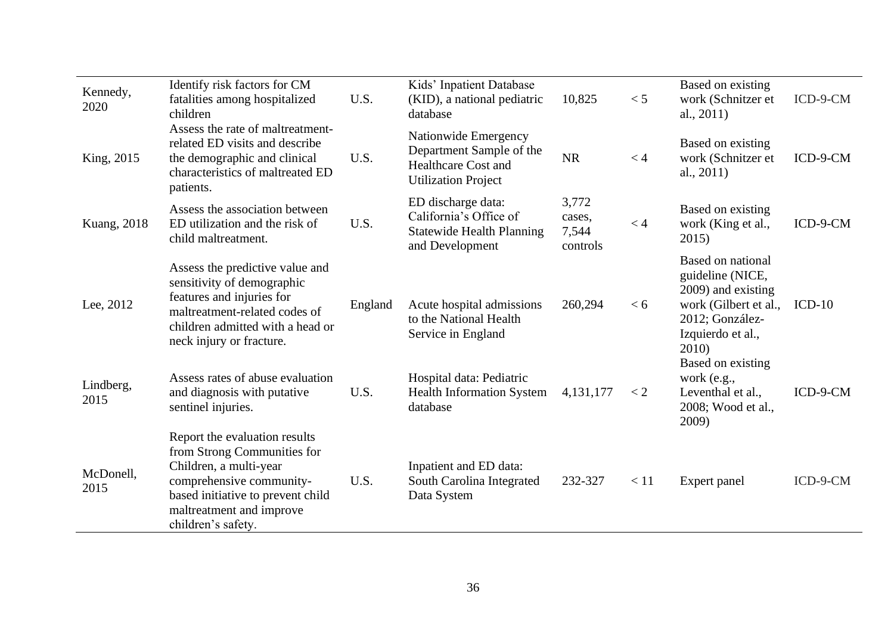| Kennedy,<br>2020  | Identify risk factors for CM<br>fatalities among hospitalized<br>children                                                                                                                                 | U.S.    | Kids' Inpatient Database<br>(KID), a national pediatric<br>database                                          | 10,825                               | < 5  | Based on existing<br>work (Schnitzer et<br>al., $2011$ )                                                                              | ICD-9-CM |
|-------------------|-----------------------------------------------------------------------------------------------------------------------------------------------------------------------------------------------------------|---------|--------------------------------------------------------------------------------------------------------------|--------------------------------------|------|---------------------------------------------------------------------------------------------------------------------------------------|----------|
| King, 2015        | Assess the rate of maltreatment-<br>related ED visits and describe<br>the demographic and clinical<br>characteristics of maltreated ED<br>patients.                                                       | U.S.    | Nationwide Emergency<br>Department Sample of the<br><b>Healthcare Cost and</b><br><b>Utilization Project</b> | <b>NR</b>                            | < 4  | Based on existing<br>work (Schnitzer et<br>al., $2011$ )                                                                              | ICD-9-CM |
| Kuang, 2018       | Assess the association between<br>ED utilization and the risk of<br>child maltreatment.                                                                                                                   | U.S.    | ED discharge data:<br>California's Office of<br><b>Statewide Health Planning</b><br>and Development          | 3,772<br>cases,<br>7,544<br>controls | < 4  | Based on existing<br>work (King et al.,<br>2015)                                                                                      | ICD-9-CM |
| Lee, 2012         | Assess the predictive value and<br>sensitivity of demographic<br>features and injuries for<br>maltreatment-related codes of<br>children admitted with a head or<br>neck injury or fracture.               | England | Acute hospital admissions<br>to the National Health<br>Service in England                                    | 260,294                              | < 6  | Based on national<br>guideline (NICE,<br>2009) and existing<br>work (Gilbert et al.,<br>2012; González-<br>Izquierdo et al.,<br>2010) | $ICD-10$ |
| Lindberg,<br>2015 | Assess rates of abuse evaluation<br>and diagnosis with putative<br>sentinel injuries.                                                                                                                     | U.S.    | Hospital data: Pediatric<br><b>Health Information System</b><br>database                                     | 4,131,177                            | < 2  | Based on existing<br>work $(e.g.,$<br>Leventhal et al.,<br>2008; Wood et al.,<br>2009)                                                | ICD-9-CM |
| McDonell,<br>2015 | Report the evaluation results<br>from Strong Communities for<br>Children, a multi-year<br>comprehensive community-<br>based initiative to prevent child<br>maltreatment and improve<br>children's safety. | U.S.    | Inpatient and ED data:<br>South Carolina Integrated<br>Data System                                           | 232-327                              | < 11 | Expert panel                                                                                                                          | ICD-9-CM |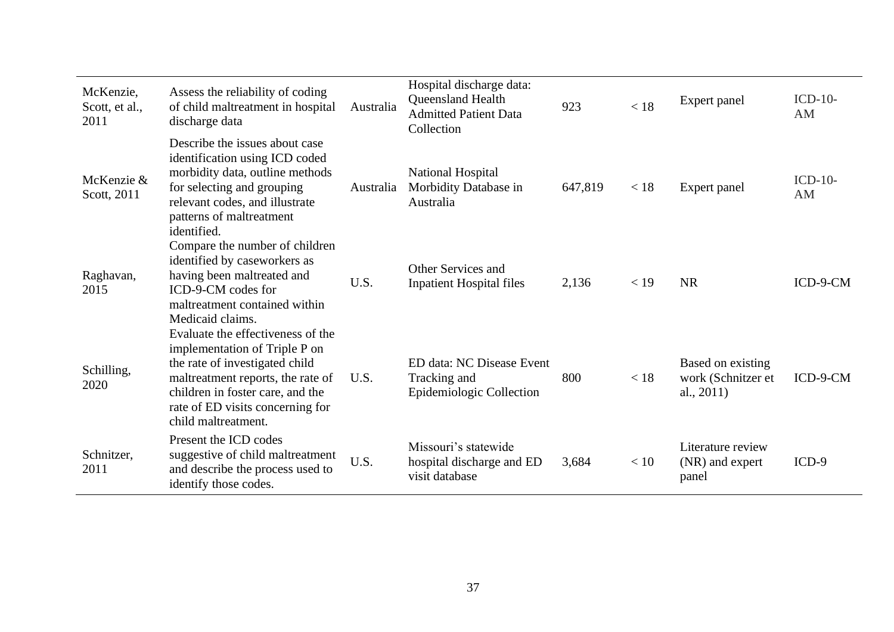| McKenzie,<br>Scott, et al.,<br>2011 | Assess the reliability of coding<br>of child maltreatment in hospital<br>discharge data                                                                                                                                                  | Australia | Hospital discharge data:<br>Queensland Health<br><b>Admitted Patient Data</b><br>Collection | 923     | < 18 | Expert panel                                             | $ICD-10-$<br>AM |
|-------------------------------------|------------------------------------------------------------------------------------------------------------------------------------------------------------------------------------------------------------------------------------------|-----------|---------------------------------------------------------------------------------------------|---------|------|----------------------------------------------------------|-----------------|
| McKenzie &<br>Scott, 2011           | Describe the issues about case<br>identification using ICD coded<br>morbidity data, outline methods<br>for selecting and grouping<br>relevant codes, and illustrate<br>patterns of maltreatment<br>identified.                           | Australia | National Hospital<br>Morbidity Database in<br>Australia                                     | 647,819 | < 18 | Expert panel                                             | $ICD-10-$<br>AM |
| Raghavan,<br>2015                   | Compare the number of children<br>identified by caseworkers as<br>having been maltreated and<br>ICD-9-CM codes for<br>maltreatment contained within<br>Medicaid claims.                                                                  | U.S.      | Other Services and<br><b>Inpatient Hospital files</b>                                       | 2,136   | < 19 | <b>NR</b>                                                | ICD-9-CM        |
| Schilling,<br>2020                  | Evaluate the effectiveness of the<br>implementation of Triple P on<br>the rate of investigated child<br>maltreatment reports, the rate of<br>children in foster care, and the<br>rate of ED visits concerning for<br>child maltreatment. | U.S.      | ED data: NC Disease Event<br>Tracking and<br>Epidemiologic Collection                       | 800     | < 18 | Based on existing<br>work (Schnitzer et<br>al., $2011$ ) | ICD-9-CM        |
| Schnitzer,<br>2011                  | Present the ICD codes<br>suggestive of child maltreatment<br>and describe the process used to<br>identify those codes.                                                                                                                   | U.S.      | Missouri's statewide<br>hospital discharge and ED<br>visit database                         | 3,684   | < 10 | Literature review<br>(NR) and expert<br>panel            | $ICD-9$         |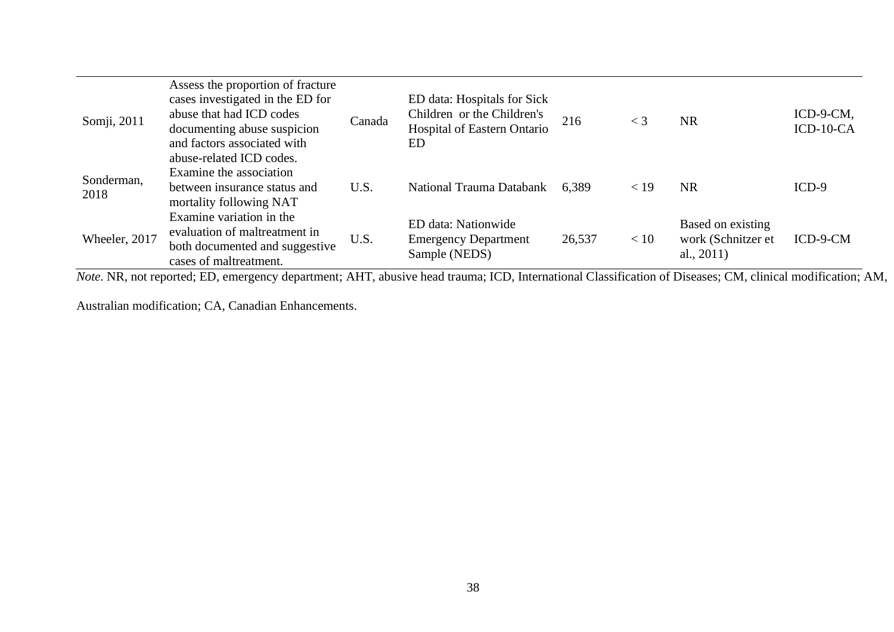| Somji, 2011        | Assess the proportion of fracture<br>cases investigated in the ED for<br>abuse that had ICD codes<br>documenting abuse suspicion<br>and factors associated with<br>abuse-related ICD codes. | Canada | ED data: Hospitals for Sick<br>Children or the Children's<br>Hospital of Eastern Ontario<br>ED | 216    | $\lt$ 3 | <b>NR</b>                                                | ICD-9-CM,<br>$ICD-10-CA$ |
|--------------------|---------------------------------------------------------------------------------------------------------------------------------------------------------------------------------------------|--------|------------------------------------------------------------------------------------------------|--------|---------|----------------------------------------------------------|--------------------------|
| Sonderman,<br>2018 | Examine the association<br>between insurance status and<br>mortality following NAT                                                                                                          | U.S.   | National Trauma Databank                                                                       | 6,389  | < 19    | <b>NR</b>                                                | $ICD-9$                  |
| Wheeler, 2017      | Examine variation in the<br>evaluation of maltreatment in<br>both documented and suggestive<br>cases of maltreatment.                                                                       | U.S.   | ED data: Nationwide<br><b>Emergency Department</b><br>Sample (NEDS)                            | 26,537 | < 10    | Based on existing<br>work (Schnitzer et<br>al., $2011$ ) | ICD-9-CM                 |

*Note*. NR, not reported; ED, emergency department; AHT, abusive head trauma; ICD, International Classification of Diseases; CM, clinical modification; AM,

Australian modification; CA, Canadian Enhancements.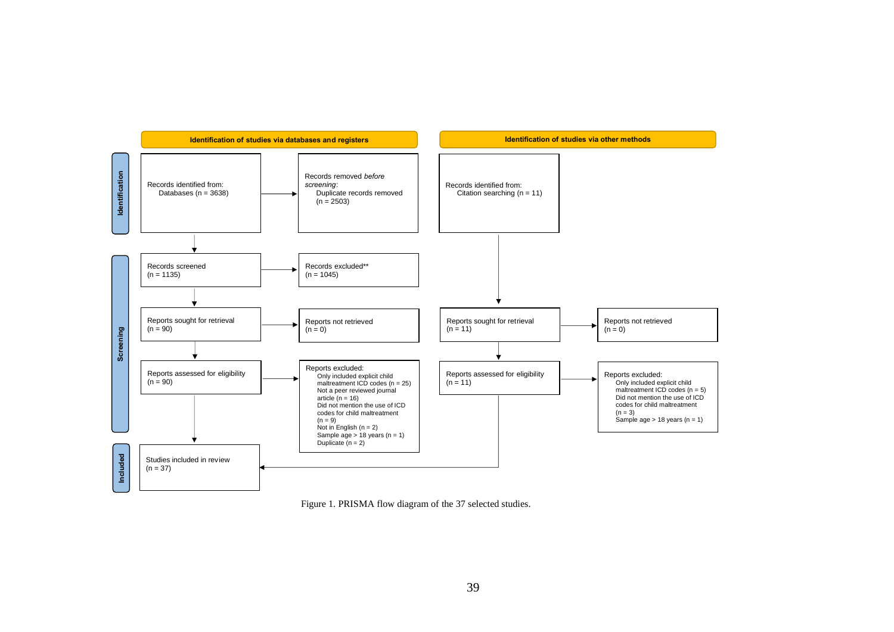

Figure 1. PRISMA flow diagram of the 37 selected studies.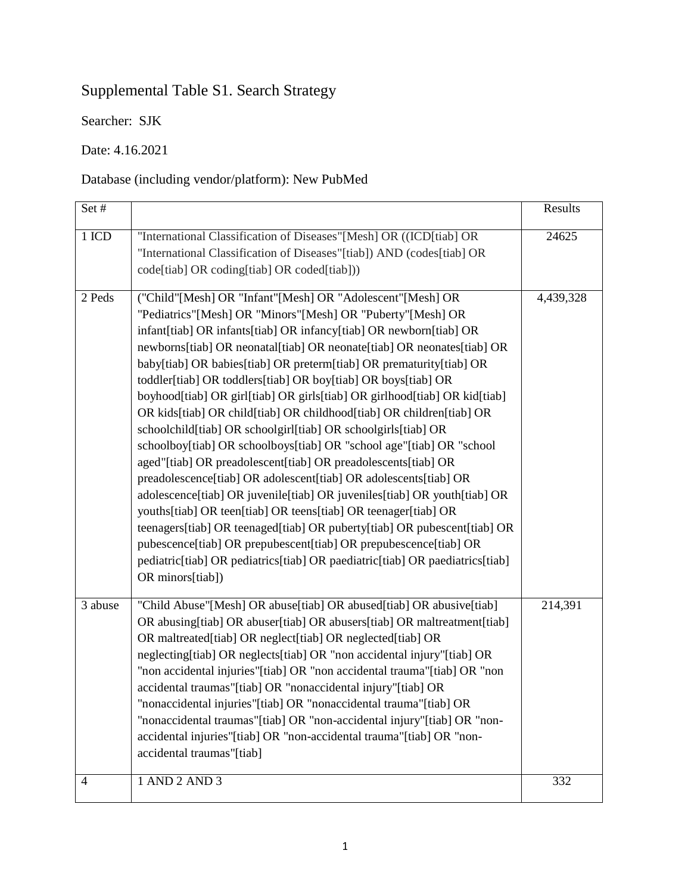# Supplemental Table S1. Search Strategy

Searcher: SJK

Date: 4.16.2021

## Database (including vendor/platform): New PubMed

| Set#           |                                                                                                                                                                                                                                                                                                                                                                                                                                                                                                                                                                                                                                                                                                                                                                                                                                                                                                                                                                                                                                                                                                                                                                                                                                                      | Results   |
|----------------|------------------------------------------------------------------------------------------------------------------------------------------------------------------------------------------------------------------------------------------------------------------------------------------------------------------------------------------------------------------------------------------------------------------------------------------------------------------------------------------------------------------------------------------------------------------------------------------------------------------------------------------------------------------------------------------------------------------------------------------------------------------------------------------------------------------------------------------------------------------------------------------------------------------------------------------------------------------------------------------------------------------------------------------------------------------------------------------------------------------------------------------------------------------------------------------------------------------------------------------------------|-----------|
| 1 ICD          | "International Classification of Diseases"[Mesh] OR ((ICD[tiab] OR<br>"International Classification of Diseases"[tiab]) AND (codes[tiab] OR<br>code[tiab] OR coding[tiab] OR coded[tiab]))                                                                                                                                                                                                                                                                                                                                                                                                                                                                                                                                                                                                                                                                                                                                                                                                                                                                                                                                                                                                                                                           | 24625     |
| 2 Peds         | ("Child"[Mesh] OR "Infant"[Mesh] OR "Adolescent"[Mesh] OR<br>"Pediatrics"[Mesh] OR "Minors"[Mesh] OR "Puberty"[Mesh] OR<br>infant[tiab] OR infants[tiab] OR infancy[tiab] OR newborn[tiab] OR<br>newborns[tiab] OR neonatal[tiab] OR neonate[tiab] OR neonates[tiab] OR<br>baby[tiab] OR babies[tiab] OR preterm[tiab] OR prematurity[tiab] OR<br>toddler[tiab] OR toddlers[tiab] OR boy[tiab] OR boys[tiab] OR<br>boyhood[tiab] OR girl[tiab] OR girls[tiab] OR girlhood[tiab] OR kid[tiab]<br>OR kids[tiab] OR child[tiab] OR childhood[tiab] OR children[tiab] OR<br>schoolchild[tiab] OR schoolgirl[tiab] OR schoolgirls[tiab] OR<br>schoolboy[tiab] OR schoolboys[tiab] OR "school age"[tiab] OR "school<br>aged"[tiab] OR preadolescent[tiab] OR preadolescents[tiab] OR<br>preadolescence[tiab] OR adolescent[tiab] OR adolescents[tiab] OR<br>adolescence[tiab] OR juvenile[tiab] OR juveniles[tiab] OR youth[tiab] OR<br>youths[tiab] OR teen[tiab] OR teens[tiab] OR teenager[tiab] OR<br>teenagers[tiab] OR teenaged[tiab] OR puberty[tiab] OR pubescent[tiab] OR<br>pubescence[tiab] OR prepubescent[tiab] OR prepubescence[tiab] OR<br>pediatric[tiab] OR pediatrics[tiab] OR paediatric[tiab] OR paediatrics[tiab]<br>OR minors[tiab]) | 4,439,328 |
| 3 abuse        | "Child Abuse"[Mesh] OR abuse[tiab] OR abused[tiab] OR abusive[tiab]<br>OR abusing [tiab] OR abuser [tiab] OR abusers [tiab] OR maltreatment [tiab]<br>OR maltreated[tiab] OR neglect[tiab] OR neglected[tiab] OR<br>neglecting[tiab] OR neglects[tiab] OR "non accidental injury"[tiab] OR<br>"non accidental injuries"[tiab] OR "non accidental trauma"[tiab] OR "non<br>accidental traumas"[tiab] OR "nonaccidental injury"[tiab] OR<br>"nonaccidental injuries"[tiab] OR "nonaccidental trauma"[tiab] OR<br>"nonaccidental traumas"[tiab] OR "non-accidental injury"[tiab] OR "non-<br>accidental injuries"[tiab] OR "non-accidental trauma"[tiab] OR "non-<br>accidental traumas"[tiab]                                                                                                                                                                                                                                                                                                                                                                                                                                                                                                                                                          | 214,391   |
| $\overline{4}$ | 1 AND 2 AND 3                                                                                                                                                                                                                                                                                                                                                                                                                                                                                                                                                                                                                                                                                                                                                                                                                                                                                                                                                                                                                                                                                                                                                                                                                                        | 332       |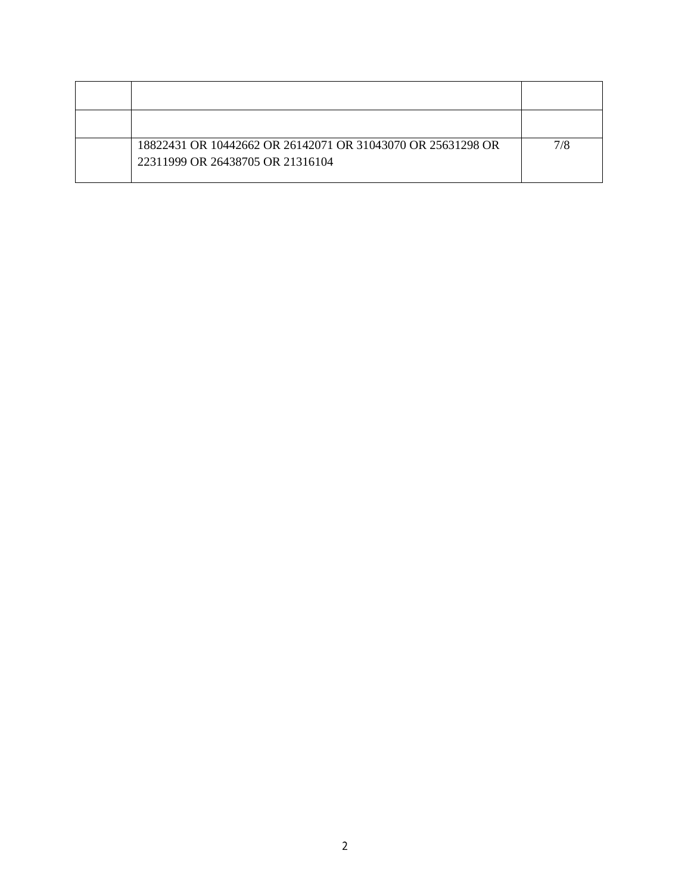| 18822431 OR 10442662 OR 26142071 OR 31043070 OR 25631298 OR<br>22311999 OR 26438705 OR 21316104 | 7/8 |
|-------------------------------------------------------------------------------------------------|-----|
|                                                                                                 |     |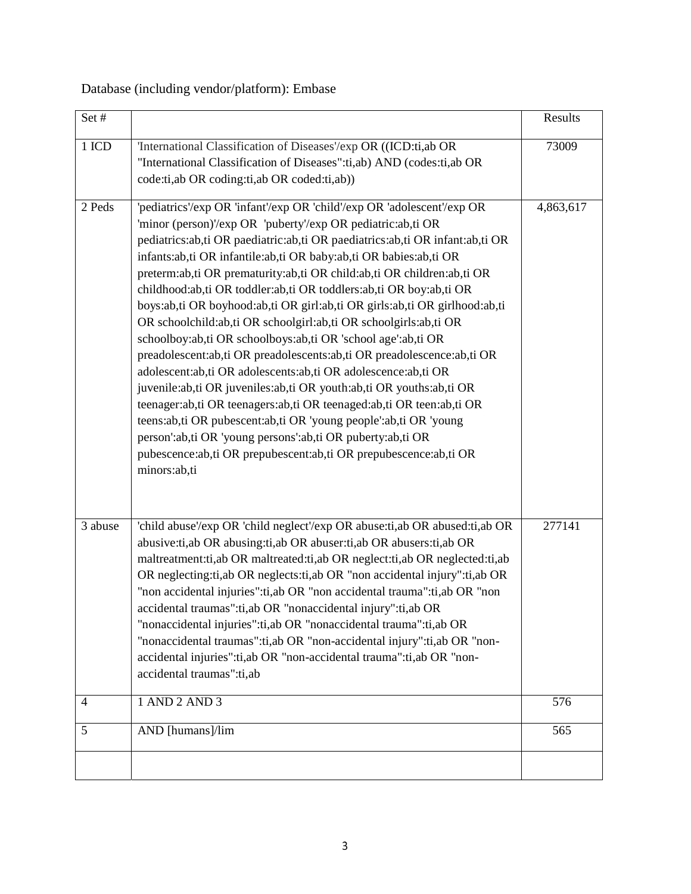## Database (including vendor/platform): Embase

| Set#                |                                                                                                                                                                                                                                                                                                                                                                                                                                                                                                                                                                                                                                                                                                                                                                                                                                                                                                                                                                                                                                                                                                                                                                              | Results    |
|---------------------|------------------------------------------------------------------------------------------------------------------------------------------------------------------------------------------------------------------------------------------------------------------------------------------------------------------------------------------------------------------------------------------------------------------------------------------------------------------------------------------------------------------------------------------------------------------------------------------------------------------------------------------------------------------------------------------------------------------------------------------------------------------------------------------------------------------------------------------------------------------------------------------------------------------------------------------------------------------------------------------------------------------------------------------------------------------------------------------------------------------------------------------------------------------------------|------------|
| 1 ICD               | 'International Classification of Diseases'/exp OR ((ICD:ti,ab OR<br>"International Classification of Diseases":ti,ab) AND (codes:ti,ab OR<br>code:ti,ab OR coding:ti,ab OR coded:ti,ab))                                                                                                                                                                                                                                                                                                                                                                                                                                                                                                                                                                                                                                                                                                                                                                                                                                                                                                                                                                                     | 73009      |
| 2 Peds              | 'pediatrics'/exp OR 'infant'/exp OR 'child'/exp OR 'adolescent'/exp OR<br>'minor (person)'/exp OR 'puberty'/exp OR pediatric:ab,ti OR<br>pediatrics:ab,ti OR paediatric:ab,ti OR paediatrics:ab,ti OR infant:ab,ti OR<br>infants:ab,ti OR infantile:ab,ti OR baby:ab,ti OR babies:ab,ti OR<br>preterm:ab,ti OR prematurity:ab,ti OR child:ab,ti OR children:ab,ti OR<br>childhood:ab,ti OR toddler:ab,ti OR toddlers:ab,ti OR boy:ab,ti OR<br>boys:ab,ti OR boyhood:ab,ti OR girl:ab,ti OR girls:ab,ti OR girlhood:ab,ti<br>OR schoolchild:ab,ti OR schoolgirl:ab,ti OR schoolgirls:ab,ti OR<br>schoolboy:ab,ti OR schoolboys:ab,ti OR 'school age':ab,ti OR<br>preadolescent:ab,ti OR preadolescents:ab,ti OR preadolescence:ab,ti OR<br>adolescent:ab,ti OR adolescents:ab,ti OR adolescence:ab,ti OR<br>juvenile:ab,ti OR juveniles:ab,ti OR youth:ab,ti OR youths:ab,ti OR<br>teenager:ab,ti OR teenagers:ab,ti OR teenaged:ab,ti OR teen:ab,ti OR<br>teens:ab,ti OR pubescent:ab,ti OR 'young people':ab,ti OR 'young<br>person':ab,ti OR 'young persons':ab,ti OR puberty:ab,ti OR<br>pubescence:ab,ti OR prepubescent:ab,ti OR prepubescence:ab,ti OR<br>minors:ab,ti | 4,863,617  |
| 3 abuse             | 'child abuse'/exp OR 'child neglect'/exp OR abuse:ti,ab OR abused:ti,ab OR<br>abusive:ti,ab OR abusing:ti,ab OR abuser:ti,ab OR abusers:ti,ab OR<br>maltreatment: ti, ab OR maltreated: ti, ab OR neglect: ti, ab OR neglected: ti, ab<br>OR neglecting:ti,ab OR neglects:ti,ab OR "non accidental injury":ti,ab OR<br>"non accidental injuries":ti, ab OR "non accidental trauma":ti, ab OR "non<br>accidental traumas":ti,ab OR "nonaccidental injury":ti,ab OR<br>"nonaccidental injuries":ti,ab OR "nonaccidental trauma":ti,ab OR<br>"nonaccidental traumas":ti,ab OR "non-accidental injury":ti,ab OR "non-<br>accidental injuries":ti,ab OR "non-accidental trauma":ti,ab OR "non-<br>accidental traumas":ti,ab                                                                                                                                                                                                                                                                                                                                                                                                                                                       | 277141     |
| $\overline{4}$<br>5 | 1 AND 2 AND 3<br>AND [humans]/lim                                                                                                                                                                                                                                                                                                                                                                                                                                                                                                                                                                                                                                                                                                                                                                                                                                                                                                                                                                                                                                                                                                                                            | 576<br>565 |
|                     |                                                                                                                                                                                                                                                                                                                                                                                                                                                                                                                                                                                                                                                                                                                                                                                                                                                                                                                                                                                                                                                                                                                                                                              |            |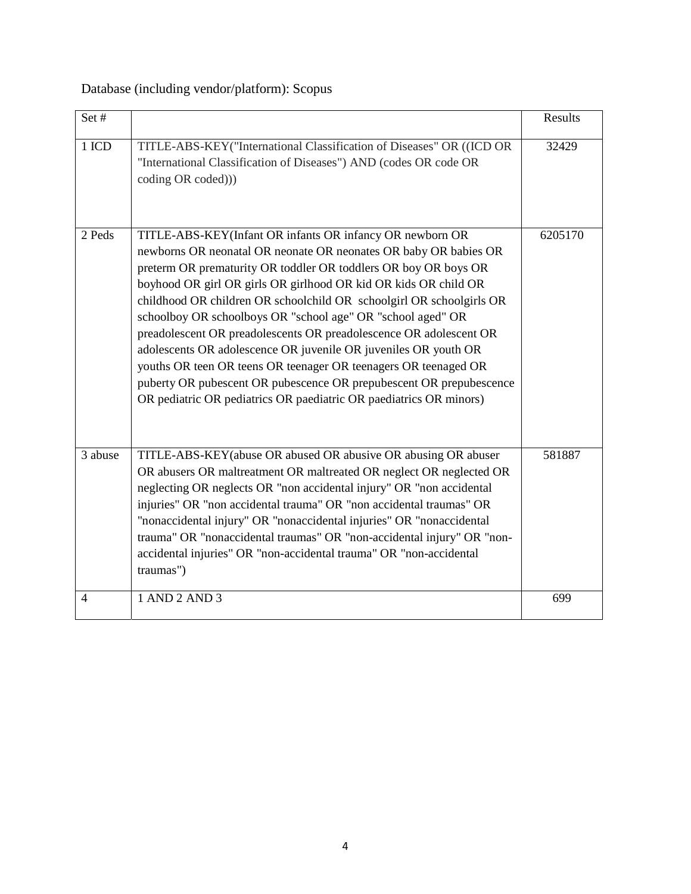Database (including vendor/platform): Scopus

| Set#           |                                                                                                                                                                                                                                                                                                                                                                                                                                                                                                                                                                                                                                                                                                                                                                    | Results |
|----------------|--------------------------------------------------------------------------------------------------------------------------------------------------------------------------------------------------------------------------------------------------------------------------------------------------------------------------------------------------------------------------------------------------------------------------------------------------------------------------------------------------------------------------------------------------------------------------------------------------------------------------------------------------------------------------------------------------------------------------------------------------------------------|---------|
| 1 ICD          | TITLE-ABS-KEY("International Classification of Diseases" OR ((ICD OR<br>"International Classification of Diseases") AND (codes OR code OR<br>coding OR coded)))                                                                                                                                                                                                                                                                                                                                                                                                                                                                                                                                                                                                    | 32429   |
| 2 Peds         | TITLE-ABS-KEY(Infant OR infants OR infancy OR newborn OR<br>newborns OR neonatal OR neonate OR neonates OR baby OR babies OR<br>preterm OR prematurity OR toddler OR toddlers OR boy OR boys OR<br>boyhood OR girl OR girls OR girlhood OR kid OR kids OR child OR<br>childhood OR children OR schoolchild OR schoolgirl OR schoolgirls OR<br>schoolboy OR schoolboys OR "school age" OR "school aged" OR<br>preadolescent OR preadolescents OR preadolescence OR adolescent OR<br>adolescents OR adolescence OR juvenile OR juveniles OR youth OR<br>youths OR teen OR teens OR teenager OR teenagers OR teenaged OR<br>puberty OR pubescent OR pubescence OR prepubescent OR prepubescence<br>OR pediatric OR pediatrics OR paediatric OR paediatrics OR minors) | 6205170 |
| 3 abuse        | TITLE-ABS-KEY(abuse OR abused OR abusive OR abusing OR abuser<br>OR abusers OR maltreatment OR maltreated OR neglect OR neglected OR<br>neglecting OR neglects OR "non accidental injury" OR "non accidental<br>injuries" OR "non accidental trauma" OR "non accidental traumas" OR<br>"nonaccidental injury" OR "nonaccidental injuries" OR "nonaccidental<br>trauma" OR "nonaccidental traumas" OR "non-accidental injury" OR "non-<br>accidental injuries" OR "non-accidental trauma" OR "non-accidental<br>traumas")                                                                                                                                                                                                                                           | 581887  |
| $\overline{4}$ | 1 AND 2 AND 3                                                                                                                                                                                                                                                                                                                                                                                                                                                                                                                                                                                                                                                                                                                                                      | 699     |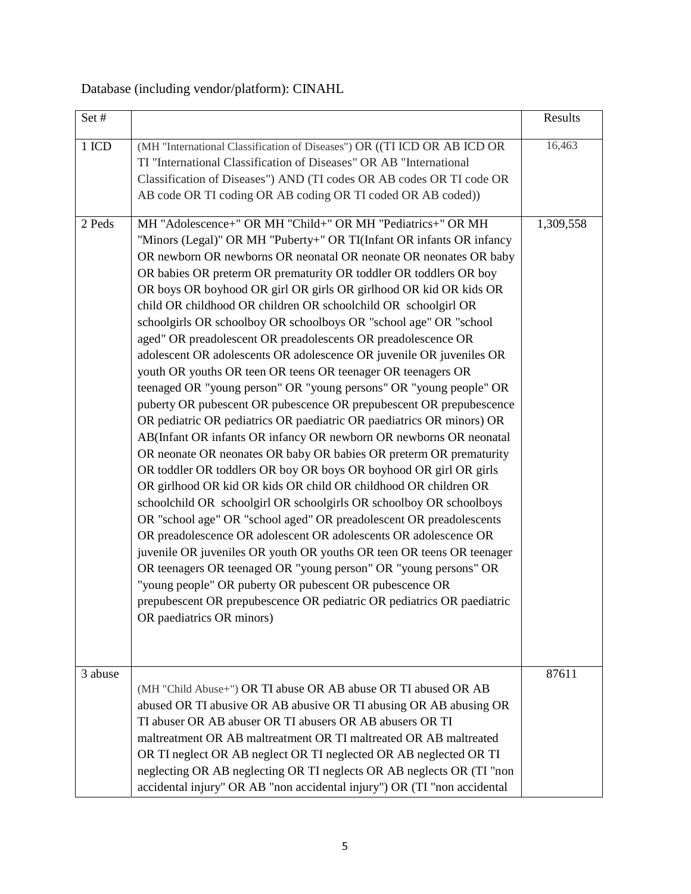## Database (including vendor/platform): CINAHL

| Set#    |                                                                                                                                                                                                                                                                                                                                                                                                                                                                                                                                                                                                                                                                                                                                                                                                                                                                                                                                                                                                                                                                                                                                                                                                                                                                                                                                                                                                                                                                                                                                                                                                                                                                                                                                              | Results   |
|---------|----------------------------------------------------------------------------------------------------------------------------------------------------------------------------------------------------------------------------------------------------------------------------------------------------------------------------------------------------------------------------------------------------------------------------------------------------------------------------------------------------------------------------------------------------------------------------------------------------------------------------------------------------------------------------------------------------------------------------------------------------------------------------------------------------------------------------------------------------------------------------------------------------------------------------------------------------------------------------------------------------------------------------------------------------------------------------------------------------------------------------------------------------------------------------------------------------------------------------------------------------------------------------------------------------------------------------------------------------------------------------------------------------------------------------------------------------------------------------------------------------------------------------------------------------------------------------------------------------------------------------------------------------------------------------------------------------------------------------------------------|-----------|
| 1 ICD   | (MH "International Classification of Diseases") OR ((TI ICD OR AB ICD OR<br>TI "International Classification of Diseases" OR AB "International<br>Classification of Diseases") AND (TI codes OR AB codes OR TI code OR<br>AB code OR TI coding OR AB coding OR TI coded OR AB coded))                                                                                                                                                                                                                                                                                                                                                                                                                                                                                                                                                                                                                                                                                                                                                                                                                                                                                                                                                                                                                                                                                                                                                                                                                                                                                                                                                                                                                                                        | 16,463    |
| 2 Peds  | MH "Adolescence+" OR MH "Child+" OR MH "Pediatrics+" OR MH<br>"Minors (Legal)" OR MH "Puberty+" OR TI(Infant OR infants OR infancy<br>OR newborn OR newborns OR neonatal OR neonate OR neonates OR baby<br>OR babies OR preterm OR prematurity OR toddler OR toddlers OR boy<br>OR boys OR boyhood OR girl OR girls OR girlhood OR kid OR kids OR<br>child OR childhood OR children OR schoolchild OR schoolgirl OR<br>schoolgirls OR schoolboy OR schoolboys OR "school age" OR "school<br>aged" OR preadolescent OR preadolescents OR preadolescence OR<br>adolescent OR adolescents OR adolescence OR juvenile OR juveniles OR<br>youth OR youths OR teen OR teens OR teenager OR teenagers OR<br>teenaged OR "young person" OR "young persons" OR "young people" OR<br>puberty OR pubescent OR pubescence OR prepubescent OR prepubescence<br>OR pediatric OR pediatrics OR paediatric OR paediatrics OR minors) OR<br>AB(Infant OR infants OR infancy OR newborn OR newborns OR neonatal<br>OR neonate OR neonates OR baby OR babies OR preterm OR prematurity<br>OR toddler OR toddlers OR boy OR boys OR boyhood OR girl OR girls<br>OR girlhood OR kid OR kids OR child OR childhood OR children OR<br>schoolchild OR schoolgirl OR schoolgirls OR schoolboy OR schoolboys<br>OR "school age" OR "school aged" OR preadolescent OR preadolescents<br>OR preadolescence OR adolescent OR adolescents OR adolescence OR<br>juvenile OR juveniles OR youth OR youths OR teen OR teens OR teenager<br>OR teenagers OR teenaged OR "young person" OR "young persons" OR<br>"young people" OR puberty OR pubescent OR pubescence OR<br>prepubescent OR prepubescence OR pediatric OR pediatrics OR paediatric<br>OR paediatrics OR minors) | 1,309,558 |
| 3 abuse | (MH "Child Abuse+") OR TI abuse OR AB abuse OR TI abused OR AB<br>abused OR TI abusive OR AB abusive OR TI abusing OR AB abusing OR<br>TI abuser OR AB abuser OR TI abusers OR AB abusers OR TI<br>maltreatment OR AB maltreatment OR TI maltreated OR AB maltreated<br>OR TI neglect OR AB neglect OR TI neglected OR AB neglected OR TI<br>neglecting OR AB neglecting OR TI neglects OR AB neglects OR (TI "non<br>accidental injury" OR AB "non accidental injury") OR (TI "non accidental                                                                                                                                                                                                                                                                                                                                                                                                                                                                                                                                                                                                                                                                                                                                                                                                                                                                                                                                                                                                                                                                                                                                                                                                                                               | 87611     |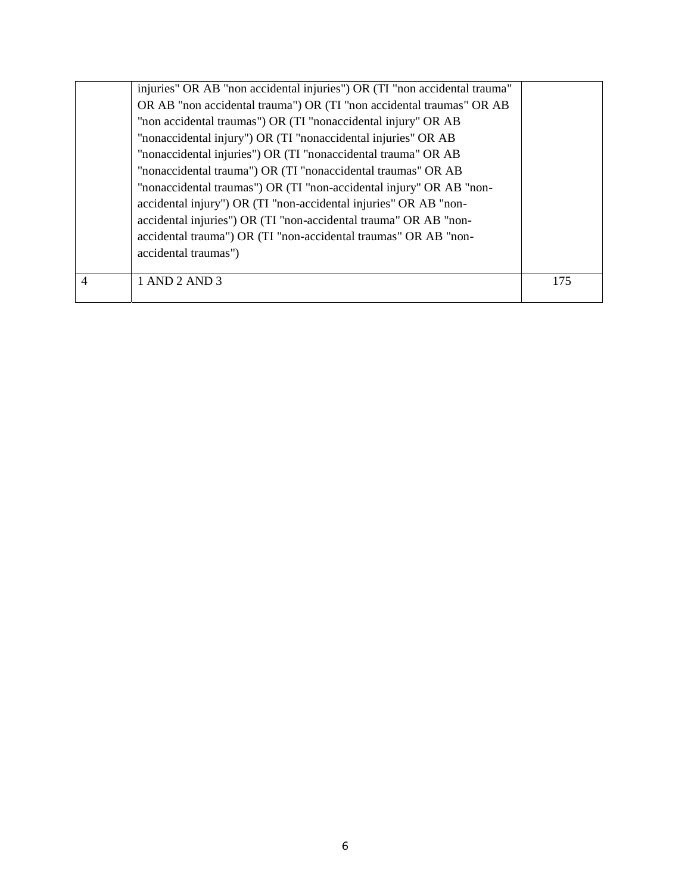|   | injuries" OR AB "non accidental injuries") OR (TI "non accidental trauma" |     |
|---|---------------------------------------------------------------------------|-----|
|   | OR AB "non accidental trauma") OR (TI "non accidental traumas" OR AB      |     |
|   | "non accidental traumas") OR (TI "nonaccidental injury" OR AB             |     |
|   | "nonaccidental injury") OR (TI "nonaccidental injuries" OR AB             |     |
|   | "nonaccidental injuries") OR (TI "nonaccidental trauma" OR AB             |     |
|   | "nonaccidental trauma") OR (TI "nonaccidental traumas" OR AB              |     |
|   | "nonaccidental traumas") OR (TI "non-accidental injury" OR AB "non-       |     |
|   | accidental injury") OR (TI "non-accidental injuries" OR AB "non-          |     |
|   | accidental injuries") OR (TI "non-accidental trauma" OR AB "non-          |     |
|   | accidental trauma") OR (TI "non-accidental traumas" OR AB "non-           |     |
|   | accidental traumas")                                                      |     |
|   |                                                                           |     |
| 4 | 1 AND 2 AND 3                                                             | 175 |
|   |                                                                           |     |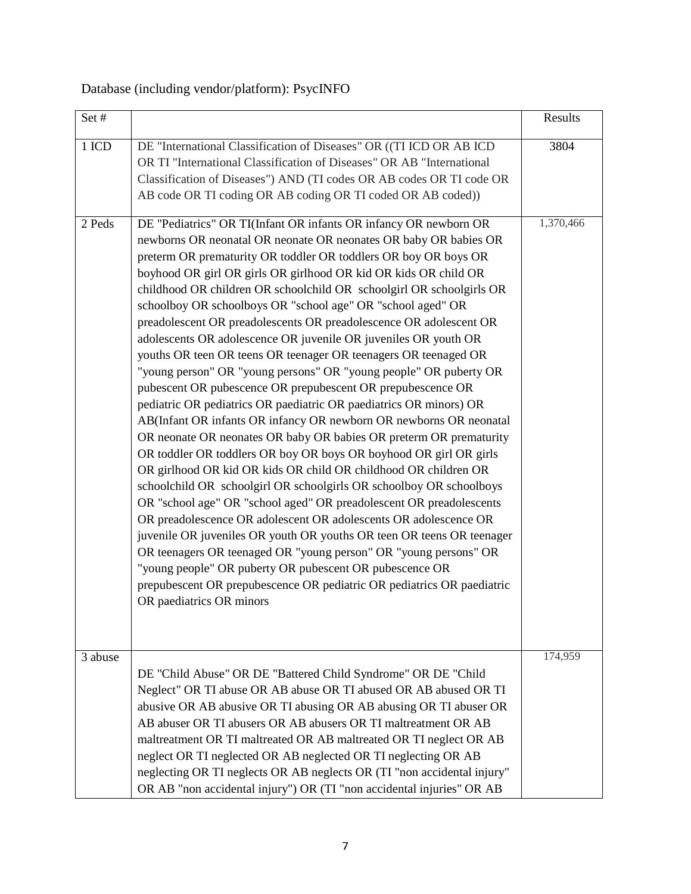## Database (including vendor/platform): PsycINFO

| Set#    |                                                                                                                                                                                                                                                                                                                                                                                                                                                                                                                                                                                                                                                                                                                                                                                                                                                                                                                                                                                                                                                                                                                                                                                                                                                                                                                                                                                                                                                                                                                                                                                                                                                             | Results   |
|---------|-------------------------------------------------------------------------------------------------------------------------------------------------------------------------------------------------------------------------------------------------------------------------------------------------------------------------------------------------------------------------------------------------------------------------------------------------------------------------------------------------------------------------------------------------------------------------------------------------------------------------------------------------------------------------------------------------------------------------------------------------------------------------------------------------------------------------------------------------------------------------------------------------------------------------------------------------------------------------------------------------------------------------------------------------------------------------------------------------------------------------------------------------------------------------------------------------------------------------------------------------------------------------------------------------------------------------------------------------------------------------------------------------------------------------------------------------------------------------------------------------------------------------------------------------------------------------------------------------------------------------------------------------------------|-----------|
| 1 ICD   | DE "International Classification of Diseases" OR ((TI ICD OR AB ICD<br>OR TI "International Classification of Diseases" OR AB "International<br>Classification of Diseases") AND (TI codes OR AB codes OR TI code OR<br>AB code OR TI coding OR AB coding OR TI coded OR AB coded))                                                                                                                                                                                                                                                                                                                                                                                                                                                                                                                                                                                                                                                                                                                                                                                                                                                                                                                                                                                                                                                                                                                                                                                                                                                                                                                                                                         | 3804      |
| 2 Peds  | DE "Pediatrics" OR TI(Infant OR infants OR infancy OR newborn OR<br>newborns OR neonatal OR neonate OR neonates OR baby OR babies OR<br>preterm OR prematurity OR toddler OR toddlers OR boy OR boys OR<br>boyhood OR girl OR girls OR girlhood OR kid OR kids OR child OR<br>childhood OR children OR schoolchild OR schoolgirl OR schoolgirls OR<br>schoolboy OR schoolboys OR "school age" OR "school aged" OR<br>preadolescent OR preadolescents OR preadolescence OR adolescent OR<br>adolescents OR adolescence OR juvenile OR juveniles OR youth OR<br>youths OR teen OR teens OR teenager OR teenagers OR teenaged OR<br>"young person" OR "young persons" OR "young people" OR puberty OR<br>pubescent OR pubescence OR prepubescent OR prepubescence OR<br>pediatric OR pediatrics OR paediatric OR paediatrics OR minors) OR<br>AB(Infant OR infants OR infancy OR newborn OR newborns OR neonatal<br>OR neonate OR neonates OR baby OR babies OR preterm OR prematurity<br>OR toddler OR toddlers OR boy OR boys OR boyhood OR girl OR girls<br>OR girlhood OR kid OR kids OR child OR childhood OR children OR<br>schoolchild OR schoolgirl OR schoolgirls OR schoolboy OR schoolboys<br>OR "school age" OR "school aged" OR preadolescent OR preadolescents<br>OR preadolescence OR adolescent OR adolescents OR adolescence OR<br>juvenile OR juveniles OR youth OR youths OR teen OR teens OR teenager<br>OR teenagers OR teenaged OR "young person" OR "young persons" OR<br>"young people" OR puberty OR pubescent OR pubescence OR<br>prepubescent OR prepubescence OR pediatric OR pediatrics OR paediatric<br>OR paediatrics OR minors | 1,370,466 |
| 3 abuse | DE "Child Abuse" OR DE "Battered Child Syndrome" OR DE "Child<br>Neglect" OR TI abuse OR AB abuse OR TI abused OR AB abused OR TI<br>abusive OR AB abusive OR TI abusing OR AB abusing OR TI abuser OR<br>AB abuser OR TI abusers OR AB abusers OR TI maltreatment OR AB<br>maltreatment OR TI maltreated OR AB maltreated OR TI neglect OR AB<br>neglect OR TI neglected OR AB neglected OR TI neglecting OR AB<br>neglecting OR TI neglects OR AB neglects OR (TI "non accidental injury"<br>OR AB "non accidental injury") OR (TI "non accidental injuries" OR AB                                                                                                                                                                                                                                                                                                                                                                                                                                                                                                                                                                                                                                                                                                                                                                                                                                                                                                                                                                                                                                                                                        | 174,959   |